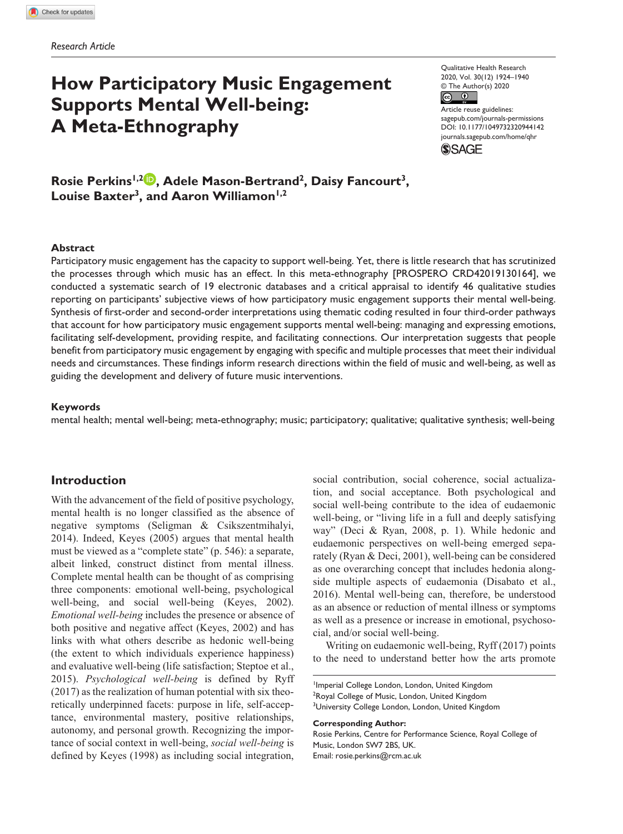# **How Participatory Music Engagement Supports Mental Well-being: A Meta-Ethnography**

Qualitative Health Research 2020, Vol. 30(12) 1924–1940 © The Author(s) 2020  $\circledcirc$ 

Article reuse guidelines: Article rease galactifies.<br>[sagepub.com/journals-permissions](https://us.sagepub.com/en-us/journals-permissions) DOI: 10.1177/1049732320944142 [journals.sagepub.com/home/qhr](https://journals.sagepub.com/home/qhr) **SSAGE** 

Rosie Perkins<sup>1,2</sup><sup>0</sup>, Adele Mason-Bertrand<sup>2</sup>, Daisy Fancourt<sup>3</sup>, Louise Baxter<sup>3</sup>, and Aaron Williamon<sup>1,2</sup>

#### **Abstract**

Participatory music engagement has the capacity to support well-being. Yet, there is little research that has scrutinized the processes through which music has an effect. In this meta-ethnography [PROSPERO CRD42019130164], we conducted a systematic search of 19 electronic databases and a critical appraisal to identify 46 qualitative studies reporting on participants' subjective views of how participatory music engagement supports their mental well-being. Synthesis of first-order and second-order interpretations using thematic coding resulted in four third-order pathways that account for how participatory music engagement supports mental well-being: managing and expressing emotions, facilitating self-development, providing respite, and facilitating connections. Our interpretation suggests that people benefit from participatory music engagement by engaging with specific and multiple processes that meet their individual needs and circumstances. These findings inform research directions within the field of music and well-being, as well as guiding the development and delivery of future music interventions.

#### **Keywords**

mental health; mental well-being; meta-ethnography; music; participatory; qualitative; qualitative synthesis; well-being

## **Introduction**

With the advancement of the field of positive psychology, mental health is no longer classified as the absence of negative symptoms (Seligman & Csikszentmihalyi, 2014). Indeed, Keyes (2005) argues that mental health must be viewed as a "complete state" (p. 546): a separate, albeit linked, construct distinct from mental illness. Complete mental health can be thought of as comprising three components: emotional well-being, psychological well-being, and social well-being (Keyes, 2002). *Emotional well-being* includes the presence or absence of both positive and negative affect (Keyes, 2002) and has links with what others describe as hedonic well-being (the extent to which individuals experience happiness) and evaluative well-being (life satisfaction; Steptoe et al., 2015). *Psychological well-being* is defined by Ryff (2017) as the realization of human potential with six theoretically underpinned facets: purpose in life, self-acceptance, environmental mastery, positive relationships, autonomy, and personal growth. Recognizing the importance of social context in well-being, *social well-being* is defined by Keyes (1998) as including social integration,

social contribution, social coherence, social actualization, and social acceptance. Both psychological and social well-being contribute to the idea of eudaemonic well-being, or "living life in a full and deeply satisfying way" (Deci & Ryan, 2008, p. 1). While hedonic and eudaemonic perspectives on well-being emerged separately (Ryan & Deci, 2001), well-being can be considered as one overarching concept that includes hedonia alongside multiple aspects of eudaemonia (Disabato et al., 2016). Mental well-being can, therefore, be understood as an absence or reduction of mental illness or symptoms as well as a presence or increase in emotional, psychosocial, and/or social well-being.

Writing on eudaemonic well-being, Ryff (2017) points to the need to understand better how the arts promote

#### **Corresponding Author:**

Rosie Perkins, Centre for Performance Science, Royal College of Music, London SW7 2BS, UK. Email: [rosie.perkins@rcm.ac.uk](mailto:rosie.perkins@rcm.ac.uk)

Imperial College London, London, United Kingdom <sup>2</sup>Royal College of Music, London, United Kingdom <sup>3</sup>University College London, London, United Kingdom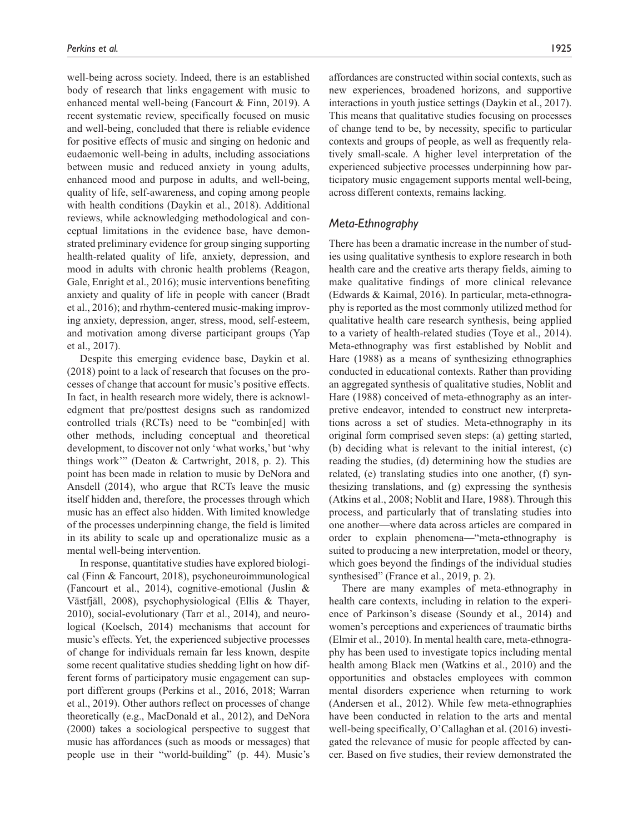well-being across society. Indeed, there is an established body of research that links engagement with music to enhanced mental well-being (Fancourt & Finn, 2019). A recent systematic review, specifically focused on music and well-being, concluded that there is reliable evidence for positive effects of music and singing on hedonic and eudaemonic well-being in adults, including associations between music and reduced anxiety in young adults, enhanced mood and purpose in adults, and well-being, quality of life, self-awareness, and coping among people with health conditions (Daykin et al., 2018). Additional reviews, while acknowledging methodological and conceptual limitations in the evidence base, have demonstrated preliminary evidence for group singing supporting health-related quality of life, anxiety, depression, and mood in adults with chronic health problems (Reagon, Gale, Enright et al., 2016); music interventions benefiting anxiety and quality of life in people with cancer (Bradt et al., 2016); and rhythm-centered music-making improving anxiety, depression, anger, stress, mood, self-esteem, and motivation among diverse participant groups (Yap et al., 2017).

Despite this emerging evidence base, Daykin et al. (2018) point to a lack of research that focuses on the processes of change that account for music's positive effects. In fact, in health research more widely, there is acknowledgment that pre/posttest designs such as randomized controlled trials (RCTs) need to be "combin[ed] with other methods, including conceptual and theoretical development, to discover not only 'what works,' but 'why things work'" (Deaton & Cartwright, 2018, p. 2). This point has been made in relation to music by DeNora and Ansdell (2014), who argue that RCTs leave the music itself hidden and, therefore, the processes through which music has an effect also hidden. With limited knowledge of the processes underpinning change, the field is limited in its ability to scale up and operationalize music as a mental well-being intervention.

In response, quantitative studies have explored biological (Finn & Fancourt, 2018), psychoneuroimmunological (Fancourt et al., 2014), cognitive-emotional (Juslin & Västfjäll, 2008), psychophysiological (Ellis & Thayer, 2010), social-evolutionary (Tarr et al., 2014), and neurological (Koelsch, 2014) mechanisms that account for music's effects. Yet, the experienced subjective processes of change for individuals remain far less known, despite some recent qualitative studies shedding light on how different forms of participatory music engagement can support different groups (Perkins et al., 2016, 2018; Warran et al., 2019). Other authors reflect on processes of change theoretically (e.g., MacDonald et al., 2012), and DeNora (2000) takes a sociological perspective to suggest that music has affordances (such as moods or messages) that people use in their "world-building" (p. 44). Music's affordances are constructed within social contexts, such as new experiences, broadened horizons, and supportive interactions in youth justice settings (Daykin et al., 2017). This means that qualitative studies focusing on processes of change tend to be, by necessity, specific to particular contexts and groups of people, as well as frequently relatively small-scale. A higher level interpretation of the experienced subjective processes underpinning how participatory music engagement supports mental well-being, across different contexts, remains lacking.

# *Meta-Ethnography*

There has been a dramatic increase in the number of studies using qualitative synthesis to explore research in both health care and the creative arts therapy fields, aiming to make qualitative findings of more clinical relevance (Edwards & Kaimal, 2016). In particular, meta-ethnography is reported as the most commonly utilized method for qualitative health care research synthesis, being applied to a variety of health-related studies (Toye et al., 2014). Meta-ethnography was first established by Noblit and Hare (1988) as a means of synthesizing ethnographies conducted in educational contexts. Rather than providing an aggregated synthesis of qualitative studies, Noblit and Hare (1988) conceived of meta-ethnography as an interpretive endeavor, intended to construct new interpretations across a set of studies. Meta-ethnography in its original form comprised seven steps: (a) getting started, (b) deciding what is relevant to the initial interest, (c) reading the studies, (d) determining how the studies are related, (e) translating studies into one another, (f) synthesizing translations, and (g) expressing the synthesis (Atkins et al., 2008; Noblit and Hare, 1988). Through this process, and particularly that of translating studies into one another—where data across articles are compared in order to explain phenomena—"meta-ethnography is suited to producing a new interpretation, model or theory, which goes beyond the findings of the individual studies synthesised" (France et al., 2019, p. 2).

There are many examples of meta-ethnography in health care contexts, including in relation to the experience of Parkinson's disease (Soundy et al., 2014) and women's perceptions and experiences of traumatic births (Elmir et al., 2010). In mental health care, meta-ethnography has been used to investigate topics including mental health among Black men (Watkins et al., 2010) and the opportunities and obstacles employees with common mental disorders experience when returning to work (Andersen et al., 2012). While few meta-ethnographies have been conducted in relation to the arts and mental well-being specifically, O'Callaghan et al. (2016) investigated the relevance of music for people affected by cancer. Based on five studies, their review demonstrated the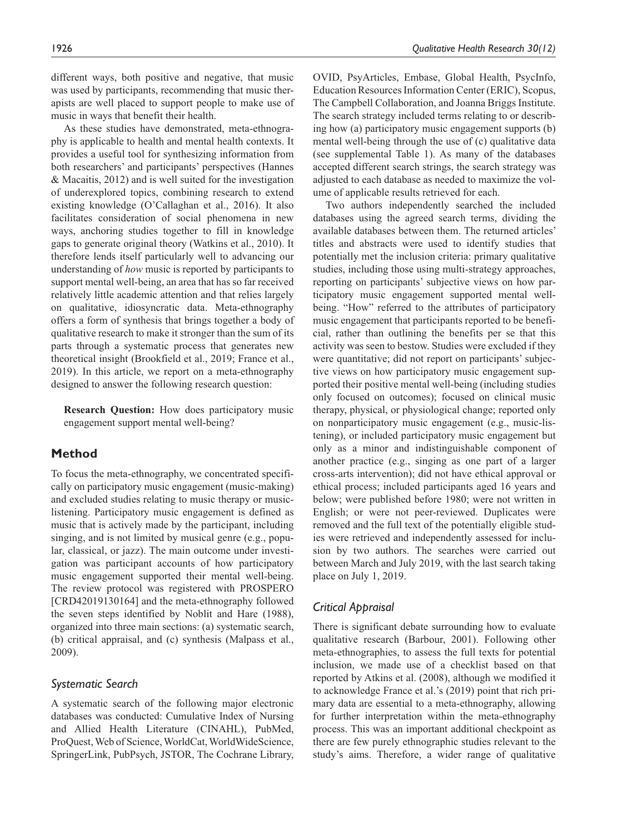different ways, both positive and negative, that music was used by participants, recommending that music therapists are well placed to support people to make use of music in ways that benefit their health.

As these studies have demonstrated, meta-ethnography is applicable to health and mental health contexts. It provides a useful tool for synthesizing information from both researchers' and participants' perspectives (Hannes & Macaitis, 2012) and is well suited for the investigation of underexplored topics, combining research to extend existing knowledge (O'Callaghan et al., 2016). It also facilitates consideration of social phenomena in new ways, anchoring studies together to fill in knowledge gaps to generate original theory (Watkins et al., 2010). It therefore lends itself particularly well to advancing our understanding of *how* music is reported by participants to support mental well-being, an area that has so far received relatively little academic attention and that relies largely on qualitative, idiosyncratic data. Meta-ethnography offers a form of synthesis that brings together a body of qualitative research to make it stronger than the sum of its parts through a systematic process that generates new theoretical insight (Brookfield et al., 2019; France et al., 2019). In this article, we report on a meta-ethnography designed to answer the following research question:

**Research Question:** How does participatory music engagement support mental well-being?

# **Method**

To focus the meta-ethnography, we concentrated specifically on participatory music engagement (music-making) and excluded studies relating to music therapy or musiclistening. Participatory music engagement is defined as music that is actively made by the participant, including singing, and is not limited by musical genre (e.g., popular, classical, or jazz). The main outcome under investigation was participant accounts of how participatory music engagement supported their mental well-being. The review protocol was registered with PROSPERO [CRD42019130164] and the meta-ethnography followed the seven steps identified by Noblit and Hare (1988), organized into three main sections: (a) systematic search, (b) critical appraisal, and (c) synthesis (Malpass et al., 2009).

## *Systematic Search*

A systematic search of the following major electronic databases was conducted: Cumulative Index of Nursing and Allied Health Literature (CINAHL), PubMed, ProQuest, Web of Science, WorldCat, WorldWideScience, SpringerLink, PubPsych, JSTOR, The Cochrane Library, OVID, PsyArticles, Embase, Global Health, PsycInfo, Education Resources Information Center (ERIC), Scopus, The Campbell Collaboration, and Joanna Briggs Institute. The search strategy included terms relating to or describing how (a) participatory music engagement supports (b) mental well-being through the use of (c) qualitative data (see supplemental Table 1). As many of the databases accepted different search strings, the search strategy was adjusted to each database as needed to maximize the volume of applicable results retrieved for each.

Two authors independently searched the included databases using the agreed search terms, dividing the available databases between them. The returned articles' titles and abstracts were used to identify studies that potentially met the inclusion criteria: primary qualitative studies, including those using multi-strategy approaches, reporting on participants' subjective views on how participatory music engagement supported mental wellbeing. "How" referred to the attributes of participatory music engagement that participants reported to be beneficial, rather than outlining the benefits per se that this activity was seen to bestow. Studies were excluded if they were quantitative; did not report on participants' subjective views on how participatory music engagement supported their positive mental well-being (including studies only focused on outcomes); focused on clinical music therapy, physical, or physiological change; reported only on nonparticipatory music engagement (e.g., music-listening), or included participatory music engagement but only as a minor and indistinguishable component of another practice (e.g., singing as one part of a larger cross-arts intervention); did not have ethical approval or ethical process; included participants aged 16 years and below; were published before 1980; were not written in English; or were not peer-reviewed. Duplicates were removed and the full text of the potentially eligible studies were retrieved and independently assessed for inclusion by two authors. The searches were carried out between March and July 2019, with the last search taking place on July 1, 2019.

# *Critical Appraisal*

There is significant debate surrounding how to evaluate qualitative research (Barbour, 2001). Following other meta-ethnographies, to assess the full texts for potential inclusion, we made use of a checklist based on that reported by Atkins et al. (2008), although we modified it to acknowledge France et al.'s (2019) point that rich primary data are essential to a meta-ethnography, allowing for further interpretation within the meta-ethnography process. This was an important additional checkpoint as there are few purely ethnographic studies relevant to the study's aims. Therefore, a wider range of qualitative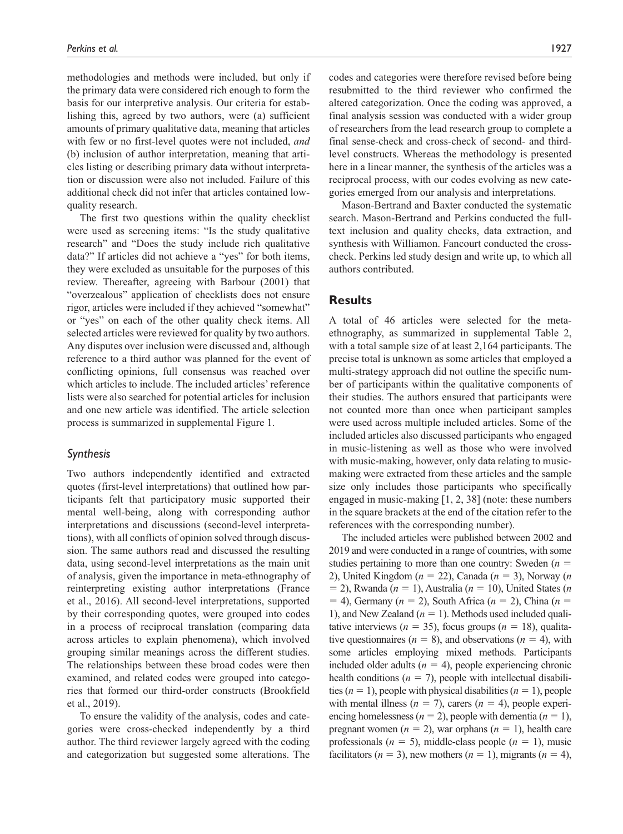methodologies and methods were included, but only if the primary data were considered rich enough to form the basis for our interpretive analysis. Our criteria for establishing this, agreed by two authors, were (a) sufficient amounts of primary qualitative data, meaning that articles with few or no first-level quotes were not included, *and* (b) inclusion of author interpretation, meaning that articles listing or describing primary data without interpretation or discussion were also not included. Failure of this additional check did not infer that articles contained lowquality research.

The first two questions within the quality checklist were used as screening items: "Is the study qualitative research" and "Does the study include rich qualitative data?" If articles did not achieve a "yes" for both items, they were excluded as unsuitable for the purposes of this review. Thereafter, agreeing with Barbour (2001) that "overzealous" application of checklists does not ensure rigor, articles were included if they achieved "somewhat" or "yes" on each of the other quality check items. All selected articles were reviewed for quality by two authors. Any disputes over inclusion were discussed and, although reference to a third author was planned for the event of conflicting opinions, full consensus was reached over which articles to include. The included articles' reference lists were also searched for potential articles for inclusion and one new article was identified. The article selection process is summarized in supplemental Figure 1.

# *Synthesis*

Two authors independently identified and extracted quotes (first-level interpretations) that outlined how participants felt that participatory music supported their mental well-being, along with corresponding author interpretations and discussions (second-level interpretations), with all conflicts of opinion solved through discussion. The same authors read and discussed the resulting data, using second-level interpretations as the main unit of analysis, given the importance in meta-ethnography of reinterpreting existing author interpretations (France et al., 2016). All second-level interpretations, supported by their corresponding quotes, were grouped into codes in a process of reciprocal translation (comparing data across articles to explain phenomena), which involved grouping similar meanings across the different studies. The relationships between these broad codes were then examined, and related codes were grouped into categories that formed our third-order constructs (Brookfield et al., 2019).

To ensure the validity of the analysis, codes and categories were cross-checked independently by a third author. The third reviewer largely agreed with the coding and categorization but suggested some alterations. The codes and categories were therefore revised before being resubmitted to the third reviewer who confirmed the altered categorization. Once the coding was approved, a final analysis session was conducted with a wider group of researchers from the lead research group to complete a final sense-check and cross-check of second- and thirdlevel constructs. Whereas the methodology is presented here in a linear manner, the synthesis of the articles was a reciprocal process, with our codes evolving as new categories emerged from our analysis and interpretations.

Mason-Bertrand and Baxter conducted the systematic search. Mason-Bertrand and Perkins conducted the fulltext inclusion and quality checks, data extraction, and synthesis with Williamon. Fancourt conducted the crosscheck. Perkins led study design and write up, to which all authors contributed.

# **Results**

A total of 46 articles were selected for the metaethnography, as summarized in supplemental Table 2, with a total sample size of at least 2,164 participants. The precise total is unknown as some articles that employed a multi-strategy approach did not outline the specific number of participants within the qualitative components of their studies. The authors ensured that participants were not counted more than once when participant samples were used across multiple included articles. Some of the included articles also discussed participants who engaged in music-listening as well as those who were involved with music-making, however, only data relating to musicmaking were extracted from these articles and the sample size only includes those participants who specifically engaged in music-making [1, 2, 38] (note: these numbers in the square brackets at the end of the citation refer to the references with the corresponding number).

The included articles were published between 2002 and 2019 and were conducted in a range of countries, with some studies pertaining to more than one country: Sweden (*n* = 2), United Kingdom (*n* = 22), Canada (*n* = 3), Norway (*n* = 2), Rwanda (*n* = 1), Australia (*n* = 10), United States (*n* = 4), Germany (*n* = 2), South Africa (*n* = 2), China (*n* = 1), and New Zealand  $(n = 1)$ . Methods used included qualitative interviews ( $n = 35$ ), focus groups ( $n = 18$ ), qualitative questionnaires ( $n = 8$ ), and observations ( $n = 4$ ), with some articles employing mixed methods. Participants included older adults  $(n = 4)$ , people experiencing chronic health conditions  $(n = 7)$ , people with intellectual disabilities  $(n = 1)$ , people with physical disabilities  $(n = 1)$ , people with mental illness  $(n = 7)$ , carers  $(n = 4)$ , people experiencing homelessness ( $n = 2$ ), people with dementia ( $n = 1$ ), pregnant women  $(n = 2)$ , war orphans  $(n = 1)$ , health care professionals ( $n = 5$ ), middle-class people ( $n = 1$ ), music facilitators ( $n = 3$ ), new mothers ( $n = 1$ ), migrants ( $n = 4$ ),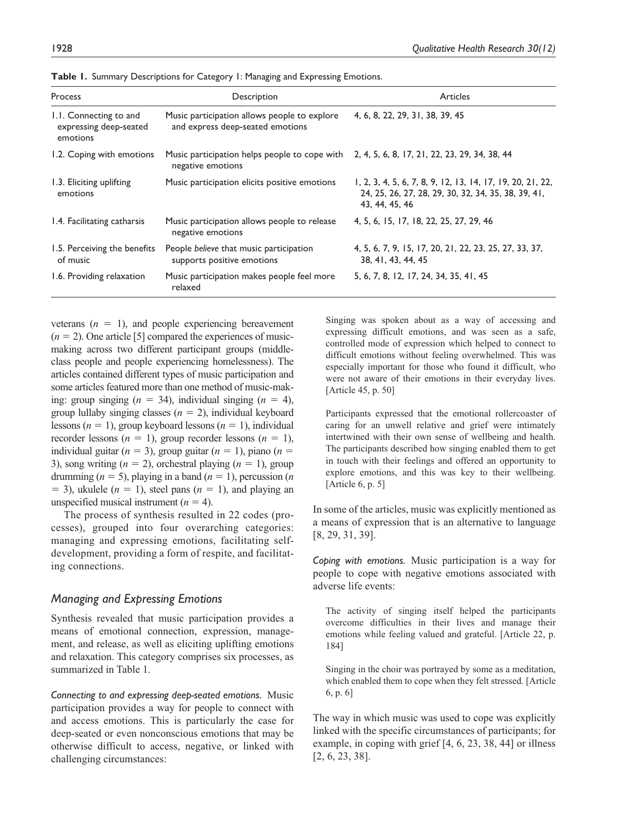| <b>Process</b>                                               | Description                                                                                                      | Articles                                                                                                                            |
|--------------------------------------------------------------|------------------------------------------------------------------------------------------------------------------|-------------------------------------------------------------------------------------------------------------------------------------|
| 1.1. Connecting to and<br>expressing deep-seated<br>emotions | Music participation allows people to explore<br>and express deep-seated emotions                                 | 4, 6, 8, 22, 29, 31, 38, 39, 45                                                                                                     |
| 1.2. Coping with emotions                                    | Music participation helps people to cope with 2, 4, 5, 6, 8, 17, 21, 22, 23, 29, 34, 38, 44<br>negative emotions |                                                                                                                                     |
| 1.3. Eliciting uplifting<br>emotions                         | Music participation elicits positive emotions                                                                    | 1, 2, 3, 4, 5, 6, 7, 8, 9, 12, 13, 14, 17, 19, 20, 21, 22,<br>24, 25, 26, 27, 28, 29, 30, 32, 34, 35, 38, 39, 41,<br>43, 44, 45, 46 |
| 1.4. Facilitating catharsis                                  | Music participation allows people to release<br>negative emotions                                                | 4, 5, 6, 15, 17, 18, 22, 25, 27, 29, 46                                                                                             |
| 1.5. Perceiving the benefits<br>of music                     | People believe that music participation<br>supports positive emotions                                            | 4, 5, 6, 7, 9, 15, 17, 20, 21, 22, 23, 25, 27, 33, 37,<br>38, 41, 43, 44, 45                                                        |
| 1.6. Providing relaxation                                    | Music participation makes people feel more<br>relaxed                                                            | 5, 6, 7, 8, 12, 17, 24, 34, 35, 41, 45                                                                                              |

**Table 1.** Summary Descriptions for Category 1: Managing and Expressing Emotions.

veterans  $(n = 1)$ , and people experiencing bereavement  $(n = 2)$ . One article [5] compared the experiences of musicmaking across two different participant groups (middleclass people and people experiencing homelessness). The articles contained different types of music participation and some articles featured more than one method of music-making: group singing (*n* = 34), individual singing (*n* = 4), group lullaby singing classes  $(n = 2)$ , individual keyboard lessons (*n* = 1), group keyboard lessons (*n* = 1), individual recorder lessons  $(n = 1)$ , group recorder lessons  $(n = 1)$ , individual guitar  $(n = 3)$ , group guitar  $(n = 1)$ , piano  $(n = 1)$ 3), song writing  $(n = 2)$ , orchestral playing  $(n = 1)$ , group drumming  $(n = 5)$ , playing in a band  $(n = 1)$ , percussion  $(n = 1)$  $=$  3), ukulele ( $n = 1$ ), steel pans ( $n = 1$ ), and playing an unspecified musical instrument  $(n = 4)$ .

The process of synthesis resulted in 22 codes (processes), grouped into four overarching categories: managing and expressing emotions, facilitating selfdevelopment, providing a form of respite, and facilitating connections.

#### *Managing and Expressing Emotions*

Synthesis revealed that music participation provides a means of emotional connection, expression, management, and release, as well as eliciting uplifting emotions and relaxation. This category comprises six processes, as summarized in Table 1.

*Connecting to and expressing deep-seated emotions.* Music participation provides a way for people to connect with and access emotions. This is particularly the case for deep-seated or even nonconscious emotions that may be otherwise difficult to access, negative, or linked with challenging circumstances:

Singing was spoken about as a way of accessing and expressing difficult emotions, and was seen as a safe, controlled mode of expression which helped to connect to difficult emotions without feeling overwhelmed. This was especially important for those who found it difficult, who were not aware of their emotions in their everyday lives. [Article 45, p. 50]

Participants expressed that the emotional rollercoaster of caring for an unwell relative and grief were intimately intertwined with their own sense of wellbeing and health. The participants described how singing enabled them to get in touch with their feelings and offered an opportunity to explore emotions, and this was key to their wellbeing. [Article 6, p. 5]

In some of the articles, music was explicitly mentioned as a means of expression that is an alternative to language [8, 29, 31, 39].

*Coping with emotions.* Music participation is a way for people to cope with negative emotions associated with adverse life events:

The activity of singing itself helped the participants overcome difficulties in their lives and manage their emotions while feeling valued and grateful. [Article 22, p. 184]

Singing in the choir was portrayed by some as a meditation, which enabled them to cope when they felt stressed. [Article 6, p. 6]

The way in which music was used to cope was explicitly linked with the specific circumstances of participants; for example, in coping with grief [4, 6, 23, 38, 44] or illness [2, 6, 23, 38].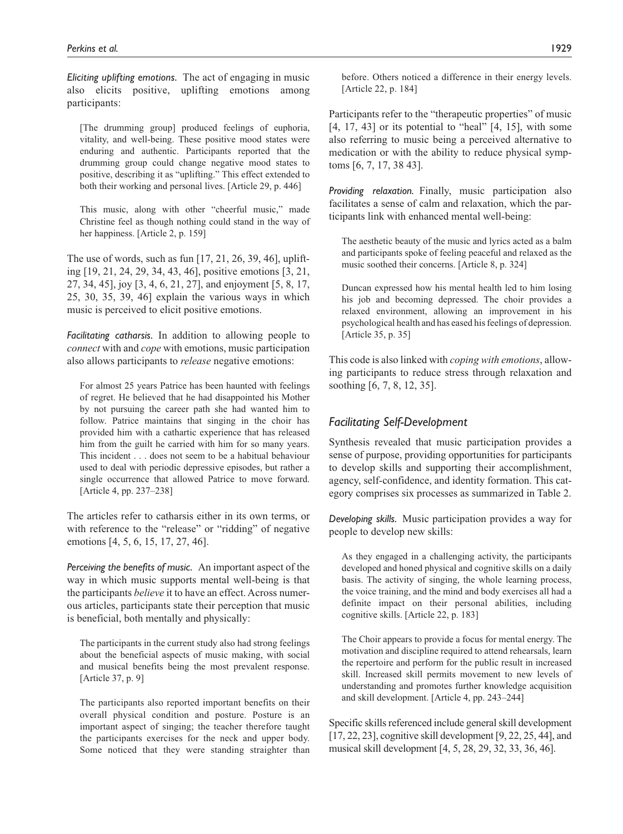*Eliciting uplifting emotions.* The act of engaging in music also elicits positive, uplifting emotions among participants:

[The drumming group] produced feelings of euphoria, vitality, and well-being. These positive mood states were enduring and authentic. Participants reported that the drumming group could change negative mood states to positive, describing it as "uplifting." This effect extended to both their working and personal lives. [Article 29, p. 446]

This music, along with other "cheerful music," made Christine feel as though nothing could stand in the way of her happiness. [Article 2, p. 159]

The use of words, such as fun [17, 21, 26, 39, 46], uplifting [19, 21, 24, 29, 34, 43, 46], positive emotions [3, 21, 27, 34, 45], joy [3, 4, 6, 21, 27], and enjoyment [5, 8, 17, 25, 30, 35, 39, 46] explain the various ways in which music is perceived to elicit positive emotions.

*Facilitating catharsis.* In addition to allowing people to *connect* with and *cope* with emotions, music participation also allows participants to *release* negative emotions:

For almost 25 years Patrice has been haunted with feelings of regret. He believed that he had disappointed his Mother by not pursuing the career path she had wanted him to follow. Patrice maintains that singing in the choir has provided him with a cathartic experience that has released him from the guilt he carried with him for so many years. This incident . . . does not seem to be a habitual behaviour used to deal with periodic depressive episodes, but rather a single occurrence that allowed Patrice to move forward. [Article 4, pp. 237–238]

The articles refer to catharsis either in its own terms, or with reference to the "release" or "ridding" of negative emotions [4, 5, 6, 15, 17, 27, 46].

*Perceiving the benefits of music.* An important aspect of the way in which music supports mental well-being is that the participants *believe* it to have an effect. Across numerous articles, participants state their perception that music is beneficial, both mentally and physically:

The participants in the current study also had strong feelings about the beneficial aspects of music making, with social and musical benefits being the most prevalent response. [Article 37, p. 9]

The participants also reported important benefits on their overall physical condition and posture. Posture is an important aspect of singing; the teacher therefore taught the participants exercises for the neck and upper body. Some noticed that they were standing straighter than

before. Others noticed a difference in their energy levels. [Article 22, p. 184]

Participants refer to the "therapeutic properties" of music [4, 17, 43] or its potential to "heal" [4, 15], with some also referring to music being a perceived alternative to medication or with the ability to reduce physical symptoms [6, 7, 17, 38 43].

*Providing relaxation.* Finally, music participation also facilitates a sense of calm and relaxation, which the participants link with enhanced mental well-being:

The aesthetic beauty of the music and lyrics acted as a balm and participants spoke of feeling peaceful and relaxed as the music soothed their concerns. [Article 8, p. 324]

Duncan expressed how his mental health led to him losing his job and becoming depressed. The choir provides a relaxed environment, allowing an improvement in his psychological health and has eased his feelings of depression. [Article 35, p. 35]

This code is also linked with *coping with emotions*, allowing participants to reduce stress through relaxation and soothing [6, 7, 8, 12, 35].

# *Facilitating Self-Development*

Synthesis revealed that music participation provides a sense of purpose, providing opportunities for participants to develop skills and supporting their accomplishment, agency, self-confidence, and identity formation. This category comprises six processes as summarized in Table 2.

*Developing skills.* Music participation provides a way for people to develop new skills:

As they engaged in a challenging activity, the participants developed and honed physical and cognitive skills on a daily basis. The activity of singing, the whole learning process, the voice training, and the mind and body exercises all had a definite impact on their personal abilities, including cognitive skills. [Article 22, p. 183]

The Choir appears to provide a focus for mental energy. The motivation and discipline required to attend rehearsals, learn the repertoire and perform for the public result in increased skill. Increased skill permits movement to new levels of understanding and promotes further knowledge acquisition and skill development. [Article 4, pp. 243–244]

Specific skills referenced include general skill development [17, 22, 23], cognitive skill development [9, 22, 25, 44], and musical skill development [4, 5, 28, 29, 32, 33, 36, 46].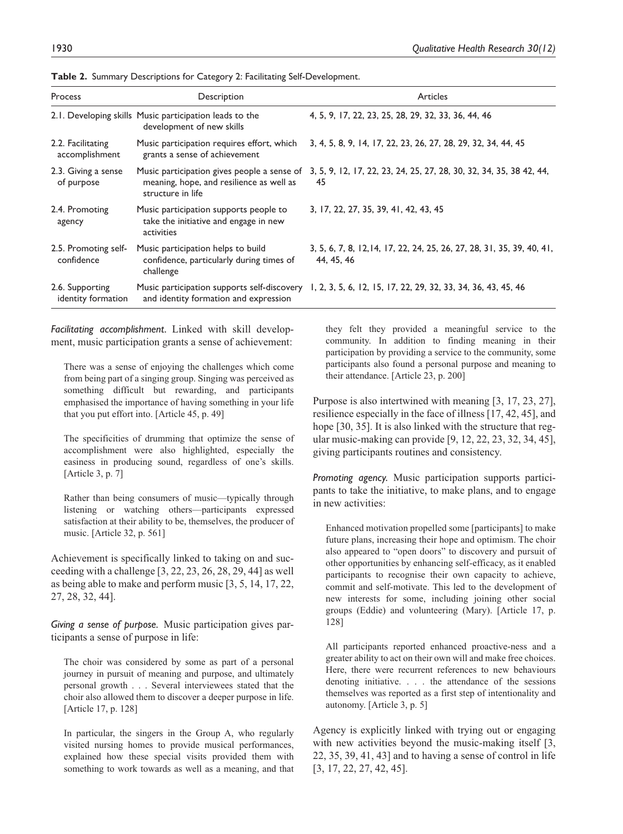| Process                               | Description                                                                                                  | Articles                                                                                                  |
|---------------------------------------|--------------------------------------------------------------------------------------------------------------|-----------------------------------------------------------------------------------------------------------|
|                                       | 2.1. Developing skills Music participation leads to the<br>development of new skills                         | 4, 5, 9, 17, 22, 23, 25, 28, 29, 32, 33, 36, 44, 46                                                       |
| 2.2. Facilitating<br>accomplishment   | Music participation requires effort, which<br>grants a sense of achievement                                  | 3, 4, 5, 8, 9, 14, 17, 22, 23, 26, 27, 28, 29, 32, 34, 44, 45                                             |
| 2.3. Giving a sense<br>of purpose     | Music participation gives people a sense of<br>meaning, hope, and resilience as well as<br>structure in life | 3, 5, 9, 12, 17, 22, 23, 24, 25, 27, 28, 30, 32, 34, 35, 38 42, 44,<br>45                                 |
| 2.4. Promoting<br>agency              | Music participation supports people to<br>take the initiative and engage in new<br>activities                | 3, 17, 22, 27, 35, 39, 41, 42, 43, 45                                                                     |
| 2.5. Promoting self-<br>confidence    | Music participation helps to build<br>confidence, particularly during times of<br>challenge                  | 3, 5, 6, 7, 8, 12, 14, 17, 22, 24, 25, 26, 27, 28, 31, 35, 39, 40, 41,<br>44, 45, 46                      |
| 2.6. Supporting<br>identity formation | and identity formation and expression                                                                        | Music participation supports self-discovery 1, 2, 3, 5, 6, 12, 15, 17, 22, 29, 32, 33, 34, 36, 43, 45, 46 |

**Table 2.** Summary Descriptions for Category 2: Facilitating Self-Development.

*Facilitating accomplishment.* Linked with skill development, music participation grants a sense of achievement:

There was a sense of enjoying the challenges which come from being part of a singing group. Singing was perceived as something difficult but rewarding, and participants emphasised the importance of having something in your life that you put effort into. [Article 45, p. 49]

The specificities of drumming that optimize the sense of accomplishment were also highlighted, especially the easiness in producing sound, regardless of one's skills. [Article 3, p. 7]

Rather than being consumers of music—typically through listening or watching others—participants expressed satisfaction at their ability to be, themselves, the producer of music. [Article 32, p. 561]

Achievement is specifically linked to taking on and succeeding with a challenge [3, 22, 23, 26, 28, 29, 44] as well as being able to make and perform music [3, 5, 14, 17, 22, 27, 28, 32, 44].

*Giving a sense of purpose.* Music participation gives participants a sense of purpose in life:

The choir was considered by some as part of a personal journey in pursuit of meaning and purpose, and ultimately personal growth . . . Several interviewees stated that the choir also allowed them to discover a deeper purpose in life. [Article 17, p. 128]

In particular, the singers in the Group A, who regularly visited nursing homes to provide musical performances, explained how these special visits provided them with something to work towards as well as a meaning, and that they felt they provided a meaningful service to the community. In addition to finding meaning in their participation by providing a service to the community, some participants also found a personal purpose and meaning to their attendance. [Article 23, p. 200]

Purpose is also intertwined with meaning [3, 17, 23, 27], resilience especially in the face of illness [17, 42, 45], and hope [30, 35]. It is also linked with the structure that regular music-making can provide [9, 12, 22, 23, 32, 34, 45], giving participants routines and consistency.

*Promoting agency.* Music participation supports participants to take the initiative, to make plans, and to engage in new activities:

Enhanced motivation propelled some [participants] to make future plans, increasing their hope and optimism. The choir also appeared to "open doors" to discovery and pursuit of other opportunities by enhancing self-efficacy, as it enabled participants to recognise their own capacity to achieve, commit and self-motivate. This led to the development of new interests for some, including joining other social groups (Eddie) and volunteering (Mary). [Article 17, p. 128]

All participants reported enhanced proactive-ness and a greater ability to act on their own will and make free choices. Here, there were recurrent references to new behaviours denoting initiative. . . . the attendance of the sessions themselves was reported as a first step of intentionality and autonomy. [Article 3, p. 5]

Agency is explicitly linked with trying out or engaging with new activities beyond the music-making itself [3, 22, 35, 39, 41, 43] and to having a sense of control in life [3, 17, 22, 27, 42, 45].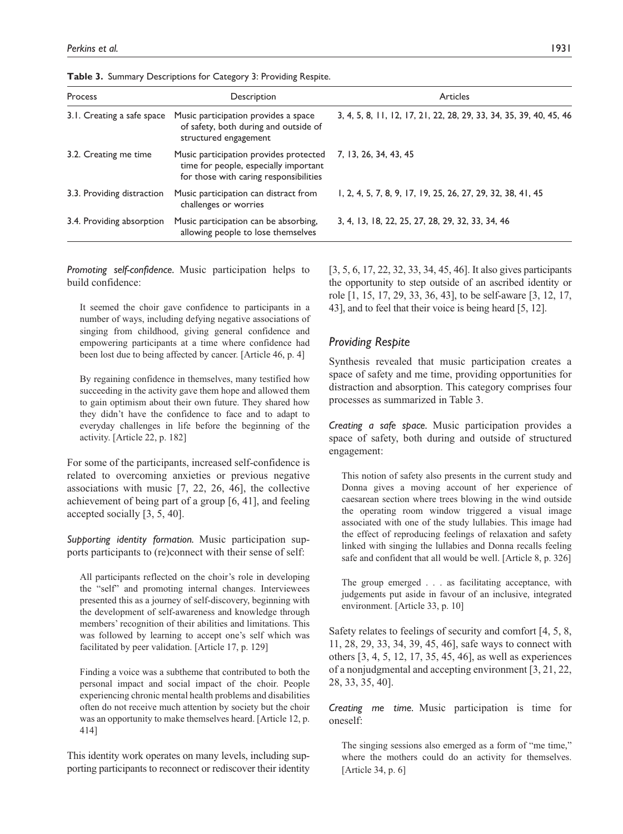| Process                    | Description                                                                                                               | <b>Articles</b>                                                    |
|----------------------------|---------------------------------------------------------------------------------------------------------------------------|--------------------------------------------------------------------|
| 3.1. Creating a safe space | Music participation provides a space<br>of safety, both during and outside of<br>structured engagement                    | 3, 4, 5, 8, 11, 12, 17, 21, 22, 28, 29, 33, 34, 35, 39, 40, 45, 46 |
| 3.2. Creating me time      | Music participation provides protected<br>time for people, especially important<br>for those with caring responsibilities | 7, 13, 26, 34, 43, 45                                              |
| 3.3. Providing distraction | Music participation can distract from<br>challenges or worries                                                            | 1, 2, 4, 5, 7, 8, 9, 17, 19, 25, 26, 27, 29, 32, 38, 41, 45        |
| 3.4. Providing absorption  | Music participation can be absorbing,<br>allowing people to lose themselves                                               | 3, 4, 13, 18, 22, 25, 27, 28, 29, 32, 33, 34, 46                   |

**Table 3.** Summary Descriptions for Category 3: Providing Respite.

*Promoting self-confidence.* Music participation helps to build confidence:

It seemed the choir gave confidence to participants in a number of ways, including defying negative associations of singing from childhood, giving general confidence and empowering participants at a time where confidence had been lost due to being affected by cancer. [Article 46, p. 4]

By regaining confidence in themselves, many testified how succeeding in the activity gave them hope and allowed them to gain optimism about their own future. They shared how they didn't have the confidence to face and to adapt to everyday challenges in life before the beginning of the activity. [Article 22, p. 182]

For some of the participants, increased self-confidence is related to overcoming anxieties or previous negative associations with music [7, 22, 26, 46], the collective achievement of being part of a group [6, 41], and feeling accepted socially [3, 5, 40].

*Supporting identity formation.* Music participation supports participants to (re)connect with their sense of self:

All participants reflected on the choir's role in developing the "self" and promoting internal changes. Interviewees presented this as a journey of self-discovery, beginning with the development of self-awareness and knowledge through members' recognition of their abilities and limitations. This was followed by learning to accept one's self which was facilitated by peer validation. [Article 17, p. 129]

Finding a voice was a subtheme that contributed to both the personal impact and social impact of the choir. People experiencing chronic mental health problems and disabilities often do not receive much attention by society but the choir was an opportunity to make themselves heard. [Article 12, p. 414]

This identity work operates on many levels, including supporting participants to reconnect or rediscover their identity [3, 5, 6, 17, 22, 32, 33, 34, 45, 46]. It also gives participants the opportunity to step outside of an ascribed identity or role [1, 15, 17, 29, 33, 36, 43], to be self-aware [3, 12, 17, 43], and to feel that their voice is being heard [5, 12].

### *Providing Respite*

Synthesis revealed that music participation creates a space of safety and me time, providing opportunities for distraction and absorption. This category comprises four processes as summarized in Table 3.

*Creating a safe space.* Music participation provides a space of safety, both during and outside of structured engagement:

This notion of safety also presents in the current study and Donna gives a moving account of her experience of caesarean section where trees blowing in the wind outside the operating room window triggered a visual image associated with one of the study lullabies. This image had the effect of reproducing feelings of relaxation and safety linked with singing the lullabies and Donna recalls feeling safe and confident that all would be well. [Article 8, p. 326]

The group emerged . . . as facilitating acceptance, with judgements put aside in favour of an inclusive, integrated environment. [Article 33, p. 10]

Safety relates to feelings of security and comfort [4, 5, 8, 11, 28, 29, 33, 34, 39, 45, 46], safe ways to connect with others [3, 4, 5, 12, 17, 35, 45, 46], as well as experiences of a nonjudgmental and accepting environment [3, 21, 22, 28, 33, 35, 40].

*Creating me time.* Music participation is time for oneself:

The singing sessions also emerged as a form of "me time," where the mothers could do an activity for themselves. [Article 34, p. 6]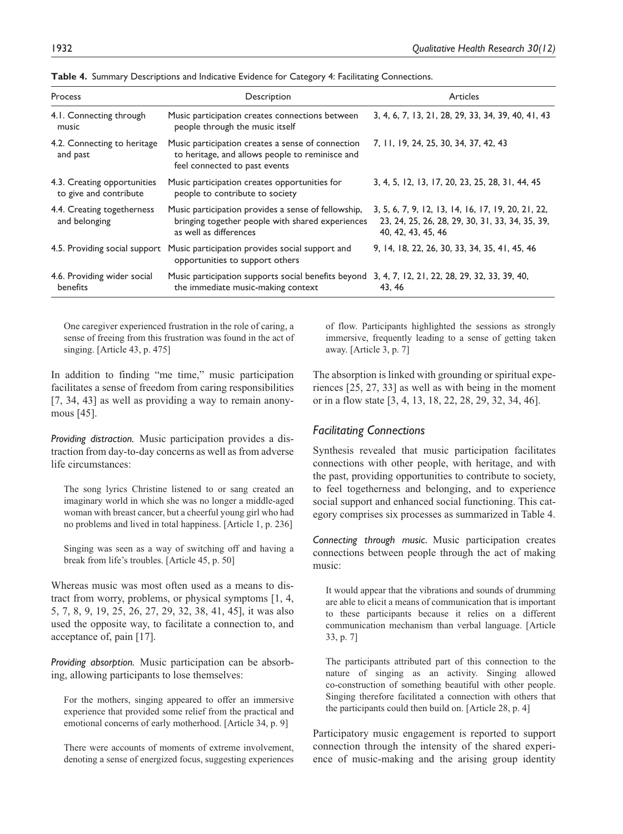| Process                                               | Description                                                                                                                            | <b>Articles</b>                                                                                                             |
|-------------------------------------------------------|----------------------------------------------------------------------------------------------------------------------------------------|-----------------------------------------------------------------------------------------------------------------------------|
| 4.1. Connecting through<br>music                      | Music participation creates connections between<br>people through the music itself                                                     | 3, 4, 6, 7, 13, 21, 28, 29, 33, 34, 39, 40, 41, 43                                                                          |
| 4.2. Connecting to heritage<br>and past               | Music participation creates a sense of connection<br>to heritage, and allows people to reminisce and<br>feel connected to past events  | 7, 11, 19, 24, 25, 30, 34, 37, 42, 43                                                                                       |
| 4.3. Creating opportunities<br>to give and contribute | Music participation creates opportunities for<br>people to contribute to society                                                       | 3, 4, 5, 12, 13, 17, 20, 23, 25, 28, 31, 44, 45                                                                             |
| 4.4. Creating togetherness<br>and belonging           | Music participation provides a sense of fellowship,<br>bringing together people with shared experiences<br>as well as differences      | 3, 5, 6, 7, 9, 12, 13, 14, 16, 17, 19, 20, 21, 22,<br>23, 24, 25, 26, 28, 29, 30, 31, 33, 34, 35, 39,<br>40, 42, 43, 45, 46 |
| 4.5. Providing social support                         | Music participation provides social support and<br>opportunities to support others                                                     | 9, 14, 18, 22, 26, 30, 33, 34, 35, 41, 45, 46                                                                               |
| 4.6. Providing wider social<br>benefits               | Music participation supports social benefits beyond 3, 4, 7, 12, 21, 22, 28, 29, 32, 33, 39, 40,<br>the immediate music-making context | 43.46                                                                                                                       |

**Table 4.** Summary Descriptions and Indicative Evidence for Category 4: Facilitating Connections.

One caregiver experienced frustration in the role of caring, a sense of freeing from this frustration was found in the act of singing. [Article 43, p. 475]

In addition to finding "me time," music participation facilitates a sense of freedom from caring responsibilities [7, 34, 43] as well as providing a way to remain anonymous [45].

*Providing distraction.* Music participation provides a distraction from day-to-day concerns as well as from adverse life circumstances:

The song lyrics Christine listened to or sang created an imaginary world in which she was no longer a middle-aged woman with breast cancer, but a cheerful young girl who had no problems and lived in total happiness. [Article 1, p. 236]

Singing was seen as a way of switching off and having a break from life's troubles. [Article 45, p. 50]

Whereas music was most often used as a means to distract from worry, problems, or physical symptoms [1, 4, 5, 7, 8, 9, 19, 25, 26, 27, 29, 32, 38, 41, 45], it was also used the opposite way, to facilitate a connection to, and acceptance of, pain [17].

*Providing absorption.* Music participation can be absorbing, allowing participants to lose themselves:

For the mothers, singing appeared to offer an immersive experience that provided some relief from the practical and emotional concerns of early motherhood. [Article 34, p. 9]

There were accounts of moments of extreme involvement, denoting a sense of energized focus, suggesting experiences of flow. Participants highlighted the sessions as strongly immersive, frequently leading to a sense of getting taken away. [Article 3, p. 7]

The absorption is linked with grounding or spiritual experiences [25, 27, 33] as well as with being in the moment or in a flow state [3, 4, 13, 18, 22, 28, 29, 32, 34, 46].

#### *Facilitating Connections*

Synthesis revealed that music participation facilitates connections with other people, with heritage, and with the past, providing opportunities to contribute to society, to feel togetherness and belonging, and to experience social support and enhanced social functioning. This category comprises six processes as summarized in Table 4.

*Connecting through music.* Music participation creates connections between people through the act of making music:

It would appear that the vibrations and sounds of drumming are able to elicit a means of communication that is important to these participants because it relies on a different communication mechanism than verbal language. [Article 33, p. 7]

The participants attributed part of this connection to the nature of singing as an activity. Singing allowed co-construction of something beautiful with other people. Singing therefore facilitated a connection with others that the participants could then build on. [Article 28, p. 4]

Participatory music engagement is reported to support connection through the intensity of the shared experience of music-making and the arising group identity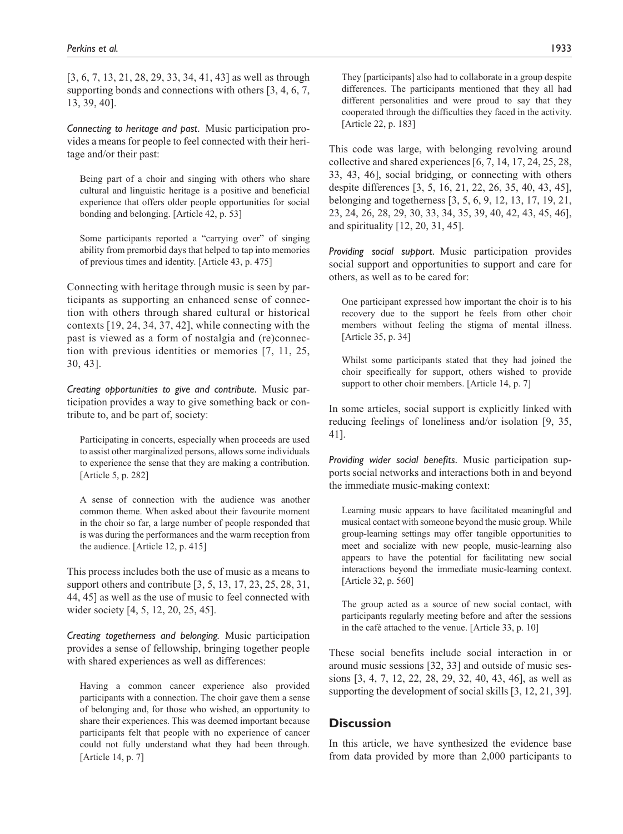[3, 6, 7, 13, 21, 28, 29, 33, 34, 41, 43] as well as through supporting bonds and connections with others [3, 4, 6, 7, 13, 39, 40].

*Connecting to heritage and past.* Music participation provides a means for people to feel connected with their heritage and/or their past:

Being part of a choir and singing with others who share cultural and linguistic heritage is a positive and beneficial experience that offers older people opportunities for social bonding and belonging. [Article 42, p. 53]

Some participants reported a "carrying over" of singing ability from premorbid days that helped to tap into memories of previous times and identity. [Article 43, p. 475]

Connecting with heritage through music is seen by participants as supporting an enhanced sense of connection with others through shared cultural or historical contexts [19, 24, 34, 37, 42], while connecting with the past is viewed as a form of nostalgia and (re)connection with previous identities or memories [7, 11, 25, 30, 43].

*Creating opportunities to give and contribute.* Music participation provides a way to give something back or contribute to, and be part of, society:

Participating in concerts, especially when proceeds are used to assist other marginalized persons, allows some individuals to experience the sense that they are making a contribution. [Article 5, p. 282]

A sense of connection with the audience was another common theme. When asked about their favourite moment in the choir so far, a large number of people responded that is was during the performances and the warm reception from the audience. [Article 12, p. 415]

This process includes both the use of music as a means to support others and contribute [3, 5, 13, 17, 23, 25, 28, 31, 44, 45] as well as the use of music to feel connected with wider society [4, 5, 12, 20, 25, 45].

*Creating togetherness and belonging.* Music participation provides a sense of fellowship, bringing together people with shared experiences as well as differences:

Having a common cancer experience also provided participants with a connection. The choir gave them a sense of belonging and, for those who wished, an opportunity to share their experiences. This was deemed important because participants felt that people with no experience of cancer could not fully understand what they had been through. [Article 14, p. 7]

They [participants] also had to collaborate in a group despite differences. The participants mentioned that they all had different personalities and were proud to say that they cooperated through the difficulties they faced in the activity. [Article 22, p. 183]

This code was large, with belonging revolving around collective and shared experiences [6, 7, 14, 17, 24, 25, 28, 33, 43, 46], social bridging, or connecting with others despite differences [3, 5, 16, 21, 22, 26, 35, 40, 43, 45], belonging and togetherness [3, 5, 6, 9, 12, 13, 17, 19, 21, 23, 24, 26, 28, 29, 30, 33, 34, 35, 39, 40, 42, 43, 45, 46], and spirituality [12, 20, 31, 45].

*Providing social support.* Music participation provides social support and opportunities to support and care for others, as well as to be cared for:

One participant expressed how important the choir is to his recovery due to the support he feels from other choir members without feeling the stigma of mental illness. [Article 35, p. 34]

Whilst some participants stated that they had joined the choir specifically for support, others wished to provide support to other choir members. [Article 14, p. 7]

In some articles, social support is explicitly linked with reducing feelings of loneliness and/or isolation [9, 35, 41].

*Providing wider social benefits.* Music participation supports social networks and interactions both in and beyond the immediate music-making context:

Learning music appears to have facilitated meaningful and musical contact with someone beyond the music group. While group-learning settings may offer tangible opportunities to meet and socialize with new people, music-learning also appears to have the potential for facilitating new social interactions beyond the immediate music-learning context. [Article 32, p. 560]

The group acted as a source of new social contact, with participants regularly meeting before and after the sessions in the café attached to the venue. [Article 33, p. 10]

These social benefits include social interaction in or around music sessions [32, 33] and outside of music sessions [3, 4, 7, 12, 22, 28, 29, 32, 40, 43, 46], as well as supporting the development of social skills [3, 12, 21, 39].

# **Discussion**

In this article, we have synthesized the evidence base from data provided by more than 2,000 participants to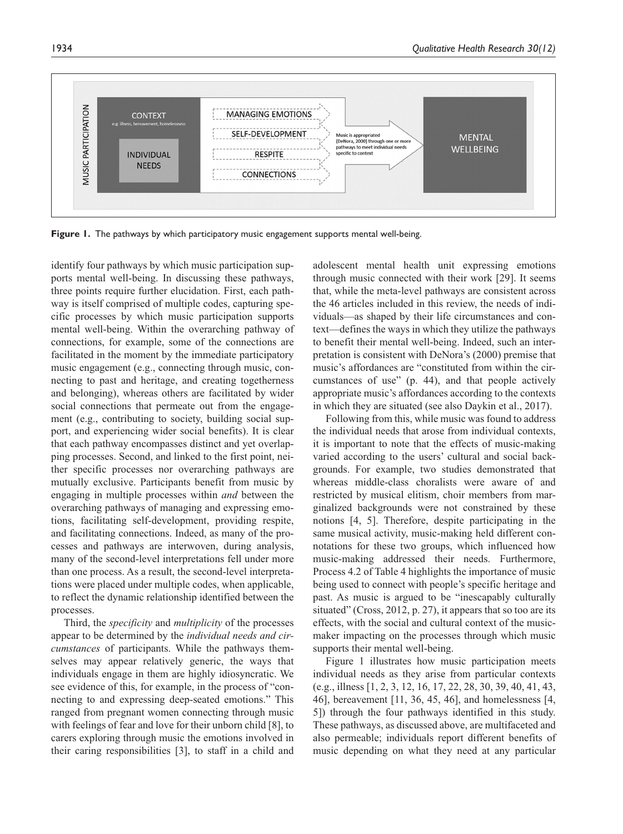

**Figure 1.** The pathways by which participatory music engagement supports mental well-being.

identify four pathways by which music participation supports mental well-being. In discussing these pathways, three points require further elucidation. First, each pathway is itself comprised of multiple codes, capturing specific processes by which music participation supports mental well-being. Within the overarching pathway of connections, for example, some of the connections are facilitated in the moment by the immediate participatory music engagement (e.g., connecting through music, connecting to past and heritage, and creating togetherness and belonging), whereas others are facilitated by wider social connections that permeate out from the engagement (e.g., contributing to society, building social support, and experiencing wider social benefits). It is clear that each pathway encompasses distinct and yet overlapping processes. Second, and linked to the first point, neither specific processes nor overarching pathways are mutually exclusive. Participants benefit from music by engaging in multiple processes within *and* between the overarching pathways of managing and expressing emotions, facilitating self-development, providing respite, and facilitating connections. Indeed, as many of the processes and pathways are interwoven, during analysis, many of the second-level interpretations fell under more than one process. As a result, the second-level interpretations were placed under multiple codes, when applicable, to reflect the dynamic relationship identified between the processes.

Third, the *specificity* and *multiplicity* of the processes appear to be determined by the *individual needs and circumstances* of participants. While the pathways themselves may appear relatively generic, the ways that individuals engage in them are highly idiosyncratic. We see evidence of this, for example, in the process of "connecting to and expressing deep-seated emotions." This ranged from pregnant women connecting through music with feelings of fear and love for their unborn child [8], to carers exploring through music the emotions involved in their caring responsibilities [3], to staff in a child and adolescent mental health unit expressing emotions through music connected with their work [29]. It seems that, while the meta-level pathways are consistent across the 46 articles included in this review, the needs of individuals—as shaped by their life circumstances and context—defines the ways in which they utilize the pathways to benefit their mental well-being. Indeed, such an interpretation is consistent with DeNora's (2000) premise that music's affordances are "constituted from within the circumstances of use" (p. 44), and that people actively appropriate music's affordances according to the contexts in which they are situated (see also Daykin et al., 2017).

Following from this, while music was found to address the individual needs that arose from individual contexts, it is important to note that the effects of music-making varied according to the users' cultural and social backgrounds. For example, two studies demonstrated that whereas middle-class choralists were aware of and restricted by musical elitism, choir members from marginalized backgrounds were not constrained by these notions [4, 5]. Therefore, despite participating in the same musical activity, music-making held different connotations for these two groups, which influenced how music-making addressed their needs. Furthermore, Process 4.2 of Table 4 highlights the importance of music being used to connect with people's specific heritage and past. As music is argued to be "inescapably culturally situated" (Cross, 2012, p. 27), it appears that so too are its effects, with the social and cultural context of the musicmaker impacting on the processes through which music supports their mental well-being.

Figure 1 illustrates how music participation meets individual needs as they arise from particular contexts (e.g., illness [1, 2, 3, 12, 16, 17, 22, 28, 30, 39, 40, 41, 43, 46], bereavement [11, 36, 45, 46], and homelessness [4, 5]) through the four pathways identified in this study. These pathways, as discussed above, are multifaceted and also permeable; individuals report different benefits of music depending on what they need at any particular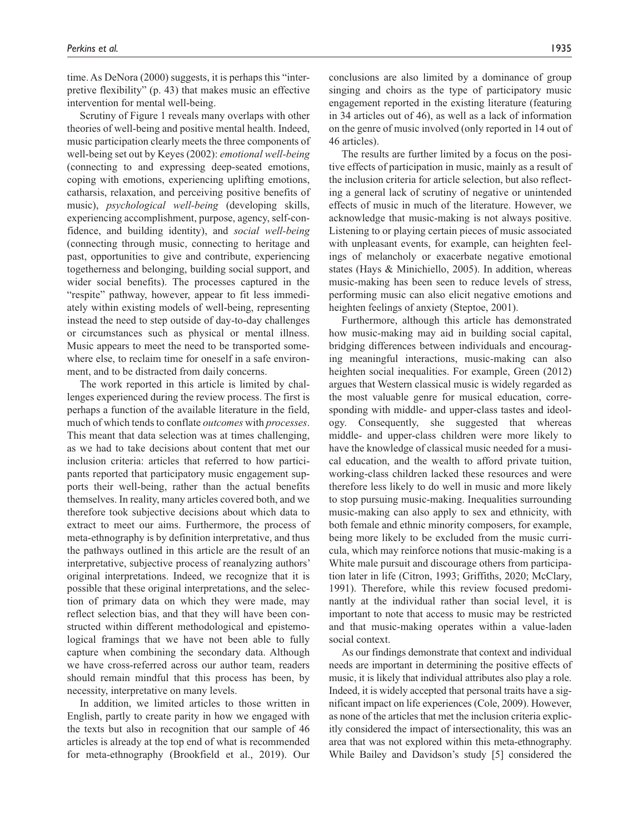time. As DeNora (2000) suggests, it is perhaps this "interpretive flexibility" (p. 43) that makes music an effective intervention for mental well-being.

Scrutiny of Figure 1 reveals many overlaps with other theories of well-being and positive mental health. Indeed, music participation clearly meets the three components of well-being set out by Keyes (2002): *emotional well-being* (connecting to and expressing deep-seated emotions, coping with emotions, experiencing uplifting emotions, catharsis, relaxation, and perceiving positive benefits of music), *psychological well-being* (developing skills, experiencing accomplishment, purpose, agency, self-confidence, and building identity), and *social well-being* (connecting through music, connecting to heritage and past, opportunities to give and contribute, experiencing togetherness and belonging, building social support, and wider social benefits). The processes captured in the "respite" pathway, however, appear to fit less immediately within existing models of well-being, representing instead the need to step outside of day-to-day challenges or circumstances such as physical or mental illness. Music appears to meet the need to be transported somewhere else, to reclaim time for oneself in a safe environment, and to be distracted from daily concerns.

The work reported in this article is limited by challenges experienced during the review process. The first is perhaps a function of the available literature in the field, much of which tends to conflate *outcomes* with *processes*. This meant that data selection was at times challenging, as we had to take decisions about content that met our inclusion criteria: articles that referred to how participants reported that participatory music engagement supports their well-being, rather than the actual benefits themselves. In reality, many articles covered both, and we therefore took subjective decisions about which data to extract to meet our aims. Furthermore, the process of meta-ethnography is by definition interpretative, and thus the pathways outlined in this article are the result of an interpretative, subjective process of reanalyzing authors' original interpretations. Indeed, we recognize that it is possible that these original interpretations, and the selection of primary data on which they were made, may reflect selection bias, and that they will have been constructed within different methodological and epistemological framings that we have not been able to fully capture when combining the secondary data. Although we have cross-referred across our author team, readers should remain mindful that this process has been, by necessity, interpretative on many levels.

In addition, we limited articles to those written in English, partly to create parity in how we engaged with the texts but also in recognition that our sample of 46 articles is already at the top end of what is recommended for meta-ethnography (Brookfield et al., 2019). Our

conclusions are also limited by a dominance of group singing and choirs as the type of participatory music engagement reported in the existing literature (featuring in 34 articles out of 46), as well as a lack of information on the genre of music involved (only reported in 14 out of 46 articles).

The results are further limited by a focus on the positive effects of participation in music, mainly as a result of the inclusion criteria for article selection, but also reflecting a general lack of scrutiny of negative or unintended effects of music in much of the literature. However, we acknowledge that music-making is not always positive. Listening to or playing certain pieces of music associated with unpleasant events, for example, can heighten feelings of melancholy or exacerbate negative emotional states (Hays & Minichiello, 2005). In addition, whereas music-making has been seen to reduce levels of stress, performing music can also elicit negative emotions and heighten feelings of anxiety (Steptoe, 2001).

Furthermore, although this article has demonstrated how music-making may aid in building social capital, bridging differences between individuals and encouraging meaningful interactions, music-making can also heighten social inequalities. For example, Green (2012) argues that Western classical music is widely regarded as the most valuable genre for musical education, corresponding with middle- and upper-class tastes and ideology. Consequently, she suggested that whereas middle- and upper-class children were more likely to have the knowledge of classical music needed for a musical education, and the wealth to afford private tuition, working-class children lacked these resources and were therefore less likely to do well in music and more likely to stop pursuing music-making. Inequalities surrounding music-making can also apply to sex and ethnicity, with both female and ethnic minority composers, for example, being more likely to be excluded from the music curricula, which may reinforce notions that music-making is a White male pursuit and discourage others from participation later in life (Citron, 1993; Griffiths, 2020; McClary, 1991). Therefore, while this review focused predominantly at the individual rather than social level, it is important to note that access to music may be restricted and that music-making operates within a value-laden social context.

As our findings demonstrate that context and individual needs are important in determining the positive effects of music, it is likely that individual attributes also play a role. Indeed, it is widely accepted that personal traits have a significant impact on life experiences (Cole, 2009). However, as none of the articles that met the inclusion criteria explicitly considered the impact of intersectionality, this was an area that was not explored within this meta-ethnography. While Bailey and Davidson's study [5] considered the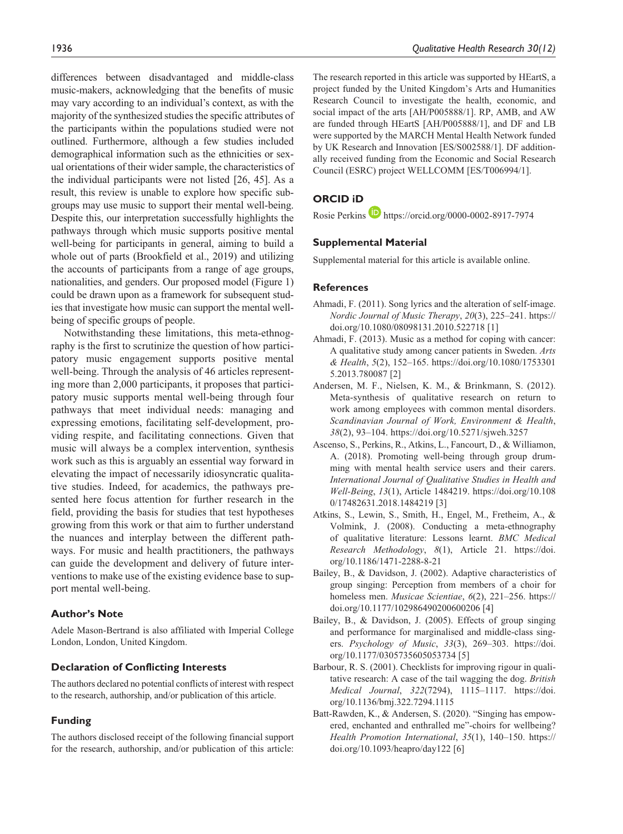differences between disadvantaged and middle-class music-makers, acknowledging that the benefits of music may vary according to an individual's context, as with the majority of the synthesized studies the specific attributes of the participants within the populations studied were not outlined. Furthermore, although a few studies included demographical information such as the ethnicities or sexual orientations of their wider sample, the characteristics of the individual participants were not listed [26, 45]. As a result, this review is unable to explore how specific subgroups may use music to support their mental well-being. Despite this, our interpretation successfully highlights the pathways through which music supports positive mental well-being for participants in general, aiming to build a whole out of parts (Brookfield et al., 2019) and utilizing the accounts of participants from a range of age groups, nationalities, and genders. Our proposed model (Figure 1) could be drawn upon as a framework for subsequent studies that investigate how music can support the mental wellbeing of specific groups of people.

Notwithstanding these limitations, this meta-ethnography is the first to scrutinize the question of how participatory music engagement supports positive mental well-being. Through the analysis of 46 articles representing more than 2,000 participants, it proposes that participatory music supports mental well-being through four pathways that meet individual needs: managing and expressing emotions, facilitating self-development, providing respite, and facilitating connections. Given that music will always be a complex intervention, synthesis work such as this is arguably an essential way forward in elevating the impact of necessarily idiosyncratic qualitative studies. Indeed, for academics, the pathways presented here focus attention for further research in the field, providing the basis for studies that test hypotheses growing from this work or that aim to further understand the nuances and interplay between the different pathways. For music and health practitioners, the pathways can guide the development and delivery of future interventions to make use of the existing evidence base to support mental well-being.

#### **Author's Note**

Adele Mason-Bertrand is also affiliated with Imperial College London, London, United Kingdom.

#### **Declaration of Conflicting Interests**

The authors declared no potential conflicts of interest with respect to the research, authorship, and/or publication of this article.

#### **Funding**

The authors disclosed receipt of the following financial support for the research, authorship, and/or publication of this article: The research reported in this article was supported by HEartS, a project funded by the United Kingdom's Arts and Humanities Research Council to investigate the health, economic, and social impact of the arts [AH/P005888/1]. RP, AMB, and AW are funded through HEartS [AH/P005888/1], and DF and LB were supported by the MARCH Mental Health Network funded by UK Research and Innovation [ES/S002588/1]. DF additionally received funding from the Economic and Social Research Council (ESRC) project WELLCOMM [ES/T006994/1].

# **ORCID iD**

Rosie Perkins **D** <https://orcid.org/0000-0002-8917-7974>

#### **Supplemental Material**

Supplemental material for this article is available online.

#### **References**

- Ahmadi, F. (2011). Song lyrics and the alteration of self-image. *Nordic Journal of Music Therapy*, *20*(3), 225–241. [https://](https://doi.org/10.1080/08098131.2010.522718) [doi.org/10.1080/08098131.2010.522718](https://doi.org/10.1080/08098131.2010.522718) [1]
- Ahmadi, F. (2013). Music as a method for coping with cancer: A qualitative study among cancer patients in Sweden. *Arts & Health*, *5*(2), 152–165. [https://doi.org/10.1080/1753301](https://doi.org/10.1080/17533015.2013.780087) [5.2013.780087](https://doi.org/10.1080/17533015.2013.780087) [2]
- Andersen, M. F., Nielsen, K. M., & Brinkmann, S. (2012). Meta-synthesis of qualitative research on return to work among employees with common mental disorders. *Scandinavian Journal of Work, Environment & Health*, *38*(2), 93–104. <https://doi.org/10.5271/sjweh.3257>
- Ascenso, S., Perkins, R., Atkins, L., Fancourt, D., & Williamon, A. (2018). Promoting well-being through group drumming with mental health service users and their carers. *International Journal of Qualitative Studies in Health and Well-Being*, *13*(1), Article 1484219. [https://doi.org/10.108](https://doi.org/10.1080/17482631.2018.1484219) [0/17482631.2018.1484219](https://doi.org/10.1080/17482631.2018.1484219) [3]
- Atkins, S., Lewin, S., Smith, H., Engel, M., Fretheim, A., & Volmink, J. (2008). Conducting a meta-ethnography of qualitative literature: Lessons learnt. *BMC Medical Research Methodology*, *8*(1), Article 21. [https://doi.](https://doi.org/10.1186/1471-2288-8-21) [org/10.1186/1471-2288-8-21](https://doi.org/10.1186/1471-2288-8-21)
- Bailey, B., & Davidson, J. (2002). Adaptive characteristics of group singing: Perception from members of a choir for homeless men. *Musicae Scientiae*, *6*(2), 221–256. [https://](https://doi.org/10.1177/102986490200600206) [doi.org/10.1177/102986490200600206](https://doi.org/10.1177/102986490200600206) [4]
- Bailey, B., & Davidson, J. (2005). Effects of group singing and performance for marginalised and middle-class singers. *Psychology of Music*, *33*(3), 269–303. [https://doi.](https://doi.org/10.1177/0305735605053734) [org/10.1177/0305735605053734](https://doi.org/10.1177/0305735605053734) [5]
- Barbour, R. S. (2001). Checklists for improving rigour in qualitative research: A case of the tail wagging the dog. *British Medical Journal*, *322*(7294), 1115–1117. [https://doi.](https://doi.org/10.1136/bmj.322.7294.1115) [org/10.1136/bmj.322.7294.1115](https://doi.org/10.1136/bmj.322.7294.1115)
- Batt-Rawden, K., & Andersen, S. (2020). "Singing has empowered, enchanted and enthralled me"-choirs for wellbeing? *Health Promotion International*, *35*(1), 140–150. [https://](https://doi.org/10.1093/heapro/day122) [doi.org/10.1093/heapro/day122](https://doi.org/10.1093/heapro/day122) [6]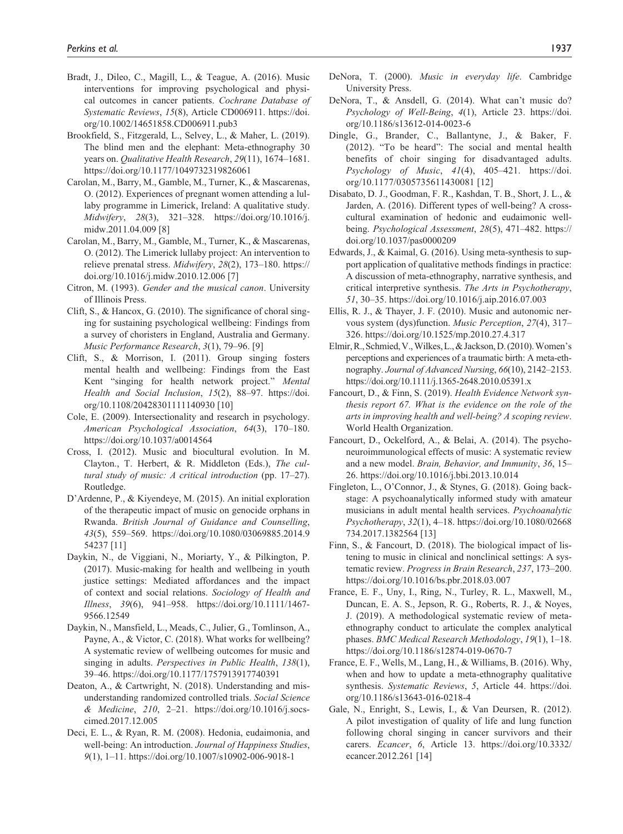- Bradt, J., Dileo, C., Magill, L., & Teague, A. (2016). Music interventions for improving psychological and physical outcomes in cancer patients. *Cochrane Database of Systematic Reviews*, *15*(8), Article CD006911. [https://doi.](https://doi.org/10.1002/14651858.CD006911.pub3) [org/10.1002/14651858.CD006911.pub3](https://doi.org/10.1002/14651858.CD006911.pub3)
- Brookfield, S., Fitzgerald, L., Selvey, L., & Maher, L. (2019). The blind men and the elephant: Meta-ethnography 30 years on. *Qualitative Health Research*, *29*(11), 1674–1681. <https://doi.org/10.1177/1049732319826061>
- Carolan, M., Barry, M., Gamble, M., Turner, K., & Mascarenas, O. (2012). Experiences of pregnant women attending a lullaby programme in Limerick, Ireland: A qualitative study. *Midwifery*, *28*(3), 321–328. [https://doi.org/10.1016/j.](https://doi.org/10.1016/j.midw.2011.04.009) [midw.2011.04.009](https://doi.org/10.1016/j.midw.2011.04.009) [8]
- Carolan, M., Barry, M., Gamble, M., Turner, K., & Mascarenas, O. (2012). The Limerick lullaby project: An intervention to relieve prenatal stress. *Midwifery*, *28*(2), 173–180. [https://](https://doi.org/10.1016/j.midw.2010.12.006) [doi.org/10.1016/j.midw.2010.12.006](https://doi.org/10.1016/j.midw.2010.12.006) [7]
- Citron, M. (1993). *Gender and the musical canon*. University of Illinois Press.
- Clift, S., & Hancox, G. (2010). The significance of choral singing for sustaining psychological wellbeing: Findings from a survey of choristers in England, Australia and Germany. *Music Performance Research*, *3*(1), 79–96. [9]
- Clift, S., & Morrison, I. (2011). Group singing fosters mental health and wellbeing: Findings from the East Kent "singing for health network project." *Mental Health and Social Inclusion*, *15*(2), 88–97. [https://doi.](https://doi.org/10.1108/20428301111140930) [org/10.1108/20428301111140930](https://doi.org/10.1108/20428301111140930) [10]
- Cole, E. (2009). Intersectionality and research in psychology. *American Psychological Association*, *64*(3), 170–180. <https://doi.org/10.1037/a0014564>
- Cross, I. (2012). Music and biocultural evolution. In M. Clayton., T. Herbert, & R. Middleton (Eds.), *The cultural study of music: A critical introduction* (pp. 17–27). Routledge.
- D'Ardenne, P., & Kiyendeye, M. (2015). An initial exploration of the therapeutic impact of music on genocide orphans in Rwanda. *British Journal of Guidance and Counselling*, *43*(5), 559–569. [https://doi.org/10.1080/03069885.2014.9](https://doi.org/10.1080/03069885.2014.954237) [54237](https://doi.org/10.1080/03069885.2014.954237) [11]
- Daykin, N., de Viggiani, N., Moriarty, Y., & Pilkington, P. (2017). Music-making for health and wellbeing in youth justice settings: Mediated affordances and the impact of context and social relations. *Sociology of Health and Illness*, *39*(6), 941–958. [https://doi.org/10.1111/1467-](https://doi.org/10.1111/1467-9566.12549) [9566.12549](https://doi.org/10.1111/1467-9566.12549)
- Daykin, N., Mansfield, L., Meads, C., Julier, G., Tomlinson, A., Payne, A., & Victor, C. (2018). What works for wellbeing? A systematic review of wellbeing outcomes for music and singing in adults. *Perspectives in Public Health*, *138*(1), 39–46.<https://doi.org/10.1177/1757913917740391>
- Deaton, A., & Cartwright, N. (2018). Understanding and misunderstanding randomized controlled trials. *Social Science & Medicine*, *210*, 2–21. [https://doi.org/10.1016/j.socs](https://doi.org/10.1016/j.socscimed.2017.12.005)[cimed.2017.12.005](https://doi.org/10.1016/j.socscimed.2017.12.005)
- Deci, E. L., & Ryan, R. M. (2008). Hedonia, eudaimonia, and well-being: An introduction. *Journal of Happiness Studies*, *9*(1), 1–11. <https://doi.org/10.1007/s10902-006-9018-1>
- DeNora, T. (2000). *Music in everyday life*. Cambridge University Press.
- DeNora, T., & Ansdell, G. (2014). What can't music do? *Psychology of Well-Being*, *4*(1), Article 23. [https://doi.](https://doi.org/10.1186/s13612-014-0023-6) [org/10.1186/s13612-014-0023-6](https://doi.org/10.1186/s13612-014-0023-6)
- Dingle, G., Brander, C., Ballantyne, J., & Baker, F. (2012). "To be heard": The social and mental health benefits of choir singing for disadvantaged adults. *Psychology of Music*, *41*(4), 405–421. [https://doi.](https://doi.org/10.1177/0305735611430081) [org/10.1177/0305735611430081](https://doi.org/10.1177/0305735611430081) [12]
- Disabato, D. J., Goodman, F. R., Kashdan, T. B., Short, J. L., & Jarden, A. (2016). Different types of well-being? A crosscultural examination of hedonic and eudaimonic wellbeing. *Psychological Assessment*, *28*(5), 471–482. [https://](https://doi.org/10.1037/pas0000209) [doi.org/10.1037/pas0000209](https://doi.org/10.1037/pas0000209)
- Edwards, J., & Kaimal, G. (2016). Using meta-synthesis to support application of qualitative methods findings in practice: A discussion of meta-ethnography, narrative synthesis, and critical interpretive synthesis. *The Arts in Psychotherapy*, *51*, 30–35. <https://doi.org/10.1016/j.aip.2016.07.003>
- Ellis, R. J., & Thayer, J. F. (2010). Music and autonomic nervous system (dys)function. *Music Perception*, *27*(4), 317– 326.<https://doi.org/10.1525/mp.2010.27.4.317>
- Elmir, R., Schmied, V., Wilkes, L., & Jackson, D. (2010). Women's perceptions and experiences of a traumatic birth: A meta-ethnography. *Journal of Advanced Nursing*, *66*(10), 2142–2153. <https://doi.org/10.1111/j.1365-2648.2010.05391.x>
- Fancourt, D., & Finn, S. (2019). *Health Evidence Network synthesis report 67. What is the evidence on the role of the arts in improving health and well-being? A scoping review*. World Health Organization.
- Fancourt, D., Ockelford, A., & Belai, A. (2014). The psychoneuroimmunological effects of music: A systematic review and a new model. *Brain, Behavior, and Immunity*, *36*, 15– 26.<https://doi.org/10.1016/j.bbi.2013.10.014>
- Fingleton, L., O'Connor, J., & Stynes, G. (2018). Going backstage: A psychoanalytically informed study with amateur musicians in adult mental health services. *Psychoanalytic Psychotherapy*, *32*(1), 4–18. [https://doi.org/10.1080/02668](https://doi.org/10.1080/02668734.2017.1382564) [734.2017.1382564](https://doi.org/10.1080/02668734.2017.1382564) [13]
- Finn, S., & Fancourt, D. (2018). The biological impact of listening to music in clinical and nonclinical settings: A systematic review. *Progress in Brain Research*, *237*, 173–200. <https://doi.org/10.1016/bs.pbr.2018.03.007>
- France, E. F., Uny, I., Ring, N., Turley, R. L., Maxwell, M., Duncan, E. A. S., Jepson, R. G., Roberts, R. J., & Noyes, J. (2019). A methodological systematic review of metaethnography conduct to articulate the complex analytical phases. *BMC Medical Research Methodology*, *19*(1), 1–18. <https://doi.org/10.1186/s12874-019-0670-7>
- France, E. F., Wells, M., Lang, H., & Williams, B. (2016). Why, when and how to update a meta-ethnography qualitative synthesis. *Systematic Reviews*, *5*, Article 44. [https://doi.](https://doi.org/10.1186/s13643-016-0218-4) [org/10.1186/s13643-016-0218-4](https://doi.org/10.1186/s13643-016-0218-4)
- Gale, N., Enright, S., Lewis, I., & Van Deursen, R. (2012). A pilot investigation of quality of life and lung function following choral singing in cancer survivors and their carers. *Ecancer*, *6*, Article 13. [https://doi.org/10.3332/](https://doi.org/10.3332/ecancer.2012.261) [ecancer.2012.261](https://doi.org/10.3332/ecancer.2012.261) [14]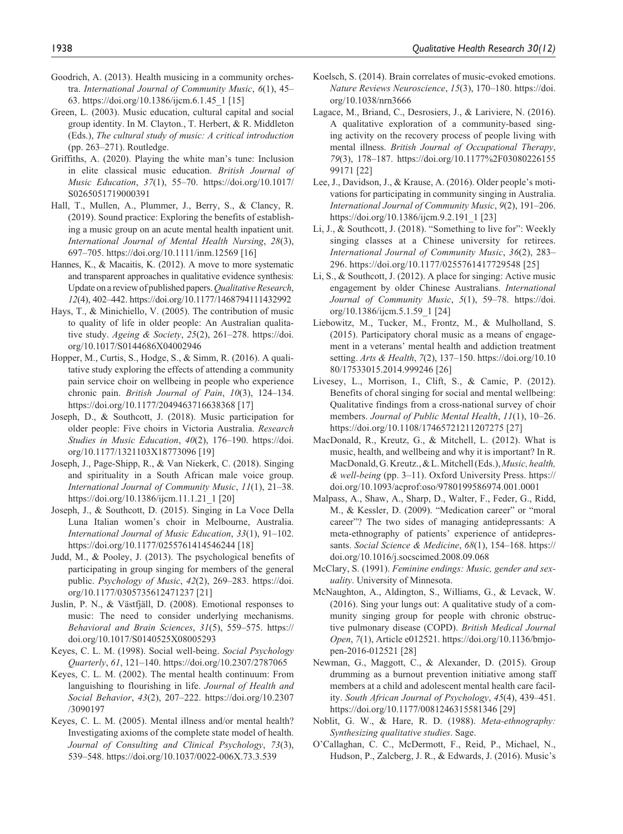- Goodrich, A. (2013). Health musicing in a community orchestra. *International Journal of Community Music*, *6*(1), 45– 63. [https://doi.org/10.1386/ijcm.6.1.45\\_1](https://doi.org/10.1386/ijcm.6.1.45_1) [15]
- Green, L. (2003). Music education, cultural capital and social group identity. In M. Clayton., T. Herbert, & R. Middleton (Eds.), *The cultural study of music: A critical introduction* (pp. 263–271). Routledge.
- Griffiths, A. (2020). Playing the white man's tune: Inclusion in elite classical music education. *British Journal of Music Education*, *37*(1), 55–70. [https://doi.org/10.1017/](https://doi.org/10.1017/S0265051719000391) [S0265051719000391](https://doi.org/10.1017/S0265051719000391)
- Hall, T., Mullen, A., Plummer, J., Berry, S., & Clancy, R. (2019). Sound practice: Exploring the benefits of establishing a music group on an acute mental health inpatient unit. *International Journal of Mental Health Nursing*, *28*(3), 697–705.<https://doi.org/10.1111/inm.12569>[16]
- Hannes, K., & Macaitis, K. (2012). A move to more systematic and transparent approaches in qualitative evidence synthesis: Update on a review of published papers. *Qualitative Research*, *12*(4), 402–442. <https://doi.org/10.1177/1468794111432992>
- Hays, T., & Minichiello, V. (2005). The contribution of music to quality of life in older people: An Australian qualitative study. *Ageing & Society*, *25*(2), 261–278. [https://doi.](https://doi.org/10.1017/S0144686X04002946) [org/10.1017/S0144686X04002946](https://doi.org/10.1017/S0144686X04002946)
- Hopper, M., Curtis, S., Hodge, S., & Simm, R. (2016). A qualitative study exploring the effects of attending a community pain service choir on wellbeing in people who experience chronic pain. *British Journal of Pain*, *10*(3), 124–134. <https://doi.org/10.1177/2049463716638368> [17]
- Joseph, D., & Southcott, J. (2018). Music participation for older people: Five choirs in Victoria Australia. *Research Studies in Music Education*, *40*(2), 176–190. [https://doi.](https://doi.org/10.1177/1321103X18773096) [org/10.1177/1321103X18773096](https://doi.org/10.1177/1321103X18773096) [19]
- Joseph, J., Page-Shipp, R., & Van Niekerk, C. (2018). Singing and spirituality in a South African male voice group. *International Journal of Community Music*, *11*(1), 21–38. [https://doi.org/10.1386/ijcm.11.1.21\\_1](https://doi.org/10.1386/ijcm.11.1.21_1) [20]
- Joseph, J., & Southcott, D. (2015). Singing in La Voce Della Luna Italian women's choir in Melbourne, Australia. *International Journal of Music Education*, *33*(1), 91–102. <https://doi.org/10.1177/0255761414546244> [18]
- Judd, M., & Pooley, J. (2013). The psychological benefits of participating in group singing for members of the general public. *Psychology of Music*, *42*(2), 269–283. [https://doi.](https://doi.org/10.1177/0305735612471237) [org/10.1177/0305735612471237](https://doi.org/10.1177/0305735612471237) [21]
- Juslin, P. N., & Västfjäll, D. (2008). Emotional responses to music: The need to consider underlying mechanisms. *Behavioral and Brain Sciences*, *31*(5), 559–575. [https://](https://doi.org/10.1017/S0140525X08005293) [doi.org/10.1017/S0140525X08005293](https://doi.org/10.1017/S0140525X08005293)
- Keyes, C. L. M. (1998). Social well-being. *Social Psychology Quarterly*, *61*, 121–140.<https://doi.org/10.2307/2787065>
- Keyes, C. L. M. (2002). The mental health continuum: From languishing to flourishing in life. *Journal of Health and Social Behavior*, *43*(2), 207–222. [https://doi.org/10.2307](https://doi.org/10.2307/3090197) [/3090197](https://doi.org/10.2307/3090197)
- Keyes, C. L. M. (2005). Mental illness and/or mental health? Investigating axioms of the complete state model of health. *Journal of Consulting and Clinical Psychology*, *73*(3), 539–548.<https://doi.org/10.1037/0022-006X.73.3.539>
- Koelsch, S. (2014). Brain correlates of music-evoked emotions. *Nature Reviews Neuroscience*, *15*(3), 170–180. [https://doi.](https://doi.org/10.1038/nrn3666) [org/10.1038/nrn3666](https://doi.org/10.1038/nrn3666)
- Lagace, M., Briand, C., Desrosiers, J., & Lariviere, N. (2016). A qualitative exploration of a community-based singing activity on the recovery process of people living with mental illness. *British Journal of Occupational Therapy*, *79*(3), 178–187. [https://doi.org/10.1177%2F03080226155](https://doi.org/10.1177%2F0308022615599171) [99171](https://doi.org/10.1177%2F0308022615599171) [22]
- Lee, J., Davidson, J., & Krause, A. (2016). Older people's motivations for participating in community singing in Australia. *International Journal of Community Music*, *9*(2), 191–206. [https://doi.org/10.1386/ijcm.9.2.191\\_1](https://doi.org/10.1386/ijcm.9.2.191_1) [23]
- Li, J., & Southcott, J. (2018). "Something to live for": Weekly singing classes at a Chinese university for retirees. *International Journal of Community Music*, *36*(2), 283– 296.<https://doi.org/10.1177/0255761417729548> [25]
- Li, S., & Southcott, J. (2012). A place for singing: Active music engagement by older Chinese Australians. *International Journal of Community Music*, *5*(1), 59–78. [https://doi.](https://doi.org/10.1386/ijcm.5.1.59_1) [org/10.1386/ijcm.5.1.59\\_1](https://doi.org/10.1386/ijcm.5.1.59_1) [24]
- Liebowitz, M., Tucker, M., Frontz, M., & Mulholland, S. (2015). Participatory choral music as a means of engagement in a veterans' mental health and addiction treatment setting. *Arts & Health*, *7*(2), 137–150. [https://doi.org/10.10](https://doi.org/10.1080/17533015.2014.999246) [80/17533015.2014.999246](https://doi.org/10.1080/17533015.2014.999246) [26]
- Livesey, L., Morrison, I., Clift, S., & Camic, P. (2012). Benefits of choral singing for social and mental wellbeing: Qualitative findings from a cross-national survey of choir members. *Journal of Public Mental Health*, *11*(1), 10–26. <https://doi.org/10.1108/17465721211207275> [27]
- MacDonald, R., Kreutz, G., & Mitchell, L. (2012). What is music, health, and wellbeing and why it is important? In R. MacDonald, G. Kreutz., & L. Mitchell (Eds.), *Music, health, & well-being* (pp. 3–11). Oxford University Press. [https://](https://doi.org/10.1093/acprof:oso/9780199586974.001.0001) [doi.org/10.1093/acprof:oso/9780199586974.001.0001](https://doi.org/10.1093/acprof:oso/9780199586974.001.0001)
- Malpass, A., Shaw, A., Sharp, D., Walter, F., Feder, G., Ridd, M., & Kessler, D. (2009). "Medication career" or "moral career"? The two sides of managing antidepressants: A meta-ethnography of patients' experience of antidepressants. *Social Science & Medicine*, *68*(1), 154–168. [https://](https://doi.org/10.1016/j.socscimed.2008.09.068) [doi.org/10.1016/j.socscimed.2008.09.068](https://doi.org/10.1016/j.socscimed.2008.09.068)
- McClary, S. (1991). *Feminine endings: Music, gender and sexuality*. University of Minnesota.
- McNaughton, A., Aldington, S., Williams, G., & Levack, W. (2016). Sing your lungs out: A qualitative study of a community singing group for people with chronic obstructive pulmonary disease (COPD). *British Medical Journal Open*, *7*(1), Article e012521. [https://doi.org/10.1136/bmjo](https://doi.org/10.1136/bmjopen-2016-012521)[pen-2016-012521](https://doi.org/10.1136/bmjopen-2016-012521) [28]
- Newman, G., Maggott, C., & Alexander, D. (2015). Group drumming as a burnout prevention initiative among staff members at a child and adolescent mental health care facility. *South African Journal of Psychology*, *45*(4), 439–451. <https://doi.org/10.1177/0081246315581346> [29]
- Noblit, G. W., & Hare, R. D. (1988). *Meta-ethnography: Synthesizing qualitative studies*. Sage.
- O'Callaghan, C. C., McDermott, F., Reid, P., Michael, N., Hudson, P., Zalcberg, J. R., & Edwards, J. (2016). Music's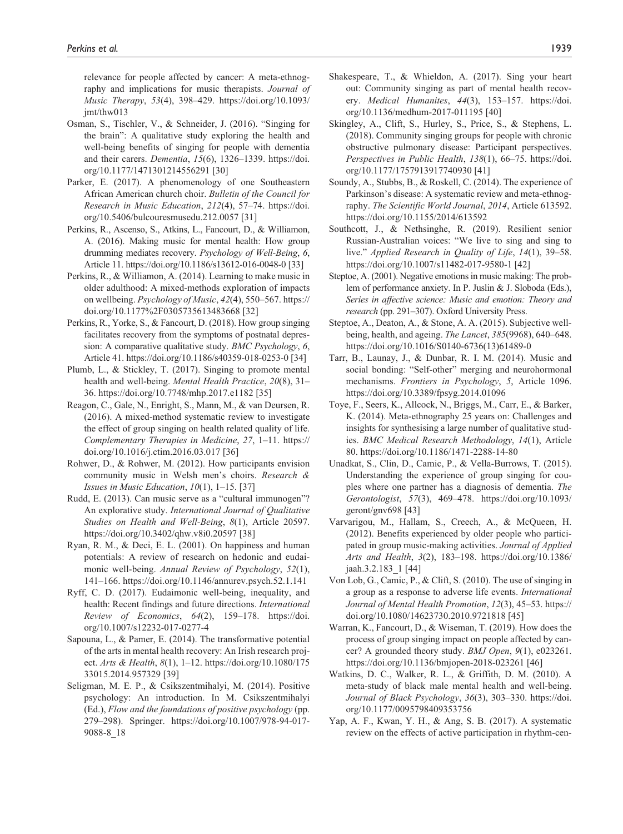relevance for people affected by cancer: A meta-ethnography and implications for music therapists. *Journal of Music Therapy*, *53*(4), 398–429. [https://doi.org/10.1093/](https://doi.org/10.1093/jmt/thw013) [jmt/thw013](https://doi.org/10.1093/jmt/thw013)

- Osman, S., Tischler, V., & Schneider, J. (2016). "Singing for the brain": A qualitative study exploring the health and well-being benefits of singing for people with dementia and their carers. *Dementia*, *15*(6), 1326–1339. [https://doi.](https://doi.org/10.1177/1471301214556291) [org/10.1177/1471301214556291](https://doi.org/10.1177/1471301214556291) [30]
- Parker, E. (2017). A phenomenology of one Southeastern African American church choir. *Bulletin of the Council for Research in Music Education*, *212*(4), 57–74. [https://doi.](https://doi.org/10.5406/bulcouresmusedu.212.0057) [org/10.5406/bulcouresmusedu.212.0057](https://doi.org/10.5406/bulcouresmusedu.212.0057) [31]
- Perkins, R., Ascenso, S., Atkins, L., Fancourt, D., & Williamon, A. (2016). Making music for mental health: How group drumming mediates recovery. *Psychology of Well-Being*, *6*, Article 11.<https://doi.org/10.1186/s13612-016-0048-0>[33]
- Perkins, R., & Williamon, A. (2014). Learning to make music in older adulthood: A mixed-methods exploration of impacts on wellbeing. *Psychology of Music*, *42*(4), 550–567. [https://](https://doi.org/10.1177%2F0305735613483668) [doi.org/10.1177%2F0305735613483668](https://doi.org/10.1177%2F0305735613483668) [32]
- Perkins, R., Yorke, S., & Fancourt, D. (2018). How group singing facilitates recovery from the symptoms of postnatal depression: A comparative qualitative study. *BMC Psychology*, *6*, Article 41. <https://doi.org/10.1186/s40359-018-0253-0>[34]
- Plumb, L., & Stickley, T. (2017). Singing to promote mental health and well-being. *Mental Health Practice*, *20*(8), 31– 36.<https://doi.org/10.7748/mhp.2017.e1182> [35]
- Reagon, C., Gale, N., Enright, S., Mann, M., & van Deursen, R. (2016). A mixed-method systematic review to investigate the effect of group singing on health related quality of life. *Complementary Therapies in Medicine*, *27*, 1–11. [https://](https://doi.org/10.1016/j.ctim.2016.03.017) [doi.org/10.1016/j.ctim.2016.03.017](https://doi.org/10.1016/j.ctim.2016.03.017) [36]
- Rohwer, D., & Rohwer, M. (2012). How participants envision community music in Welsh men's choirs. *Research & Issues in Music Education*, *10*(1), 1–15. [37]
- Rudd, E. (2013). Can music serve as a "cultural immunogen"? An explorative study. *International Journal of Qualitative Studies on Health and Well-Being*, *8*(1), Article 20597. <https://doi.org/10.3402/qhw.v8i0.20597>[38]
- Ryan, R. M., & Deci, E. L. (2001). On happiness and human potentials: A review of research on hedonic and eudaimonic well-being. *Annual Review of Psychology*, *52*(1), 141–166.<https://doi.org/10.1146/annurev.psych.52.1.141>
- Ryff, C. D. (2017). Eudaimonic well-being, inequality, and health: Recent findings and future directions. *International Review of Economics*, *64*(2), 159–178. [https://doi.](https://doi.org/10.1007/s12232-017-0277-4) [org/10.1007/s12232-017-0277-4](https://doi.org/10.1007/s12232-017-0277-4)
- Sapouna, L., & Pamer, E. (2014). The transformative potential of the arts in mental health recovery: An Irish research project. *Arts & Health*, *8*(1), 1–12. [https://doi.org/10.1080/175](https://doi.org/10.1080/17533015.2014.957329) [33015.2014.957329](https://doi.org/10.1080/17533015.2014.957329) [39]
- Seligman, M. E. P., & Csikszentmihalyi, M. (2014). Positive psychology: An introduction. In M. Csikszentmihalyi (Ed.), *Flow and the foundations of positive psychology* (pp. 279–298). Springer. [https://doi.org/10.1007/978-94-017-](https://doi.org/10.1007/978-94-017-9088-8_18) [9088-8\\_18](https://doi.org/10.1007/978-94-017-9088-8_18)
- Shakespeare, T., & Whieldon, A. (2017). Sing your heart out: Community singing as part of mental health recovery. *Medical Humanites*, *44*(3), 153–157. [https://doi.](https://doi.org/10.1136/medhum-2017-011195) [org/10.1136/medhum-2017-011195](https://doi.org/10.1136/medhum-2017-011195) [40]
- Skingley, A., Clift, S., Hurley, S., Price, S., & Stephens, L. (2018). Community singing groups for people with chronic obstructive pulmonary disease: Participant perspectives. *Perspectives in Public Health*, *138*(1), 66–75. [https://doi.](https://doi.org/10.1177/1757913917740930) [org/10.1177/1757913917740930](https://doi.org/10.1177/1757913917740930) [41]
- Soundy, A., Stubbs, B., & Roskell, C. (2014). The experience of Parkinson's disease: A systematic review and meta-ethnography. *The Scientific World Journal*, *2014*, Article 613592. <https://doi.org/10.1155/2014/613592>
- Southcott, J., & Nethsinghe, R. (2019). Resilient senior Russian-Australian voices: "We live to sing and sing to live." *Applied Research in Quality of Life*, *14*(1), 39–58. <https://doi.org/10.1007/s11482-017-9580-1>[42]
- Steptoe, A. (2001). Negative emotions in music making: The problem of performance anxiety. In P. Juslin & J. Sloboda (Eds.), *Series in affective science: Music and emotion: Theory and research* (pp. 291–307). Oxford University Press.
- Steptoe, A., Deaton, A., & Stone, A. A. (2015). Subjective wellbeing, health, and ageing. *The Lancet*, *385*(9968), 640–648. [https://doi.org/10.1016/S0140-6736\(13\)61489-0](https://doi.org/10.1016/S0140-6736(13)61489-0)
- Tarr, B., Launay, J., & Dunbar, R. I. M. (2014). Music and social bonding: "Self-other" merging and neurohormonal mechanisms. *Frontiers in Psychology*, *5*, Article 1096. <https://doi.org/10.3389/fpsyg.2014.01096>
- Toye, F., Seers, K., Allcock, N., Briggs, M., Carr, E., & Barker, K. (2014). Meta-ethnography 25 years on: Challenges and insights for synthesising a large number of qualitative studies. *BMC Medical Research Methodology*, *14*(1), Article 80.<https://doi.org/10.1186/1471-2288-14-80>
- Unadkat, S., Clin, D., Camic, P., & Vella-Burrows, T. (2015). Understanding the experience of group singing for couples where one partner has a diagnosis of dementia. *The Gerontologist*, *57*(3), 469–478. [https://doi.org/10.1093/](https://doi.org/10.1093/geront/gnv698) [geront/gnv698](https://doi.org/10.1093/geront/gnv698) [43]
- Varvarigou, M., Hallam, S., Creech, A., & McQueen, H. (2012). Benefits experienced by older people who participated in group music-making activities. *Journal of Applied Arts and Health*, *3*(2), 183–198. [https://doi.org/10.1386/](https://doi.org/10.1386/jaah.3.2.183_1) [jaah.3.2.183\\_1](https://doi.org/10.1386/jaah.3.2.183_1) [44]
- Von Lob, G., Camic, P., & Clift, S. (2010). The use of singing in a group as a response to adverse life events. *International Journal of Mental Health Promotion*, *12*(3), 45–53. [https://](https://doi.org/10.1080/14623730.2010.9721818) [doi.org/10.1080/14623730.2010.9721818](https://doi.org/10.1080/14623730.2010.9721818) [45]
- Warran, K., Fancourt, D., & Wiseman, T. (2019). How does the process of group singing impact on people affected by cancer? A grounded theory study. *BMJ Open*, *9*(1), e023261. <https://doi.org/10.1136/bmjopen-2018-023261>[46]
- Watkins, D. C., Walker, R. L., & Griffith, D. M. (2010). A meta-study of black male mental health and well-being. *Journal of Black Psychology*, *36*(3), 303–330. [https://doi.](https://doi.org/10.1177/0095798409353756) [org/10.1177/0095798409353756](https://doi.org/10.1177/0095798409353756)
- Yap, A. F., Kwan, Y. H., & Ang, S. B. (2017). A systematic review on the effects of active participation in rhythm-cen-